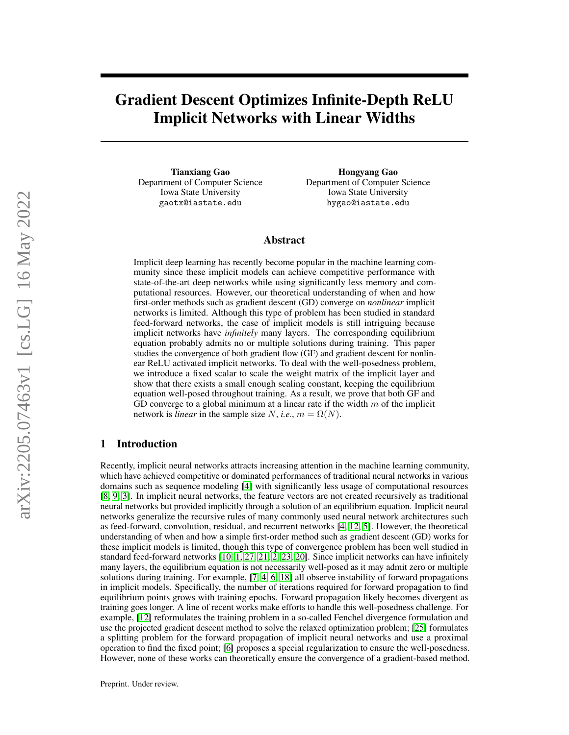# Gradient Descent Optimizes Infinite-Depth ReLU Implicit Networks with Linear Widths

Tianxiang Gao Department of Computer Science Iowa State University gaotx@iastate.edu

Hongyang Gao Department of Computer Science Iowa State University hygao@iastate.edu

# Abstract

Implicit deep learning has recently become popular in the machine learning community since these implicit models can achieve competitive performance with state-of-the-art deep networks while using significantly less memory and computational resources. However, our theoretical understanding of when and how first-order methods such as gradient descent (GD) converge on *nonlinear* implicit networks is limited. Although this type of problem has been studied in standard feed-forward networks, the case of implicit models is still intriguing because implicit networks have *infinitely* many layers. The corresponding equilibrium equation probably admits no or multiple solutions during training. This paper studies the convergence of both gradient flow (GF) and gradient descent for nonlinear ReLU activated implicit networks. To deal with the well-posedness problem, we introduce a fixed scalar to scale the weight matrix of the implicit layer and show that there exists a small enough scaling constant, keeping the equilibrium equation well-posed throughout training. As a result, we prove that both GF and GD converge to a global minimum at a linear rate if the width  $m$  of the implicit network is *linear* in the sample size N, *i.e.*,  $m = \Omega(N)$ .

# 1 Introduction

Recently, implicit neural networks attracts increasing attention in the machine learning community, which have achieved competitive or dominated performances of traditional neural networks in various domains such as sequence modeling [\[4\]](#page-9-0) with significantly less usage of computational resources [\[8,](#page-9-1) [9,](#page-9-2) [3\]](#page-9-3). In implicit neural networks, the feature vectors are not created recursively as traditional neural networks but provided implicitly through a solution of an equilibrium equation. Implicit neural networks generalize the recursive rules of many commonly used neural network architectures such as feed-forward, convolution, residual, and recurrent networks [\[4,](#page-9-0) [12,](#page-9-4) [5\]](#page-9-5). However, the theoretical understanding of when and how a simple first-order method such as gradient descent (GD) works for these implicit models is limited, though this type of convergence problem has been well studied in standard feed-forward networks [\[10,](#page-9-6) [1,](#page-9-7) [27,](#page-10-0) [21,](#page-9-8) [2,](#page-9-9) [23,](#page-10-1) [20\]](#page-9-10). Since implicit networks can have infinitely many layers, the equilibrium equation is not necessarily well-posed as it may admit zero or multiple solutions during training. For example, [\[7,](#page-9-11) [4,](#page-9-0) [6,](#page-9-12) [18\]](#page-9-13) all observe instability of forward propagations in implicit models. Specifically, the number of iterations required for forward propagation to find equilibrium points grows with training epochs. Forward propagation likely becomes divergent as training goes longer. A line of recent works make efforts to handle this well-posedness challenge. For example, [\[12\]](#page-9-4) reformulates the training problem in a so-called Fenchel divergence formulation and use the projected gradient descent method to solve the relaxed optimization problem; [\[25\]](#page-10-2) formulates a splitting problem for the forward propagation of implicit neural networks and use a proximal operation to find the fixed point; [\[6\]](#page-9-12) proposes a special regularization to ensure the well-posedness. However, none of these works can theoretically ensure the convergence of a gradient-based method.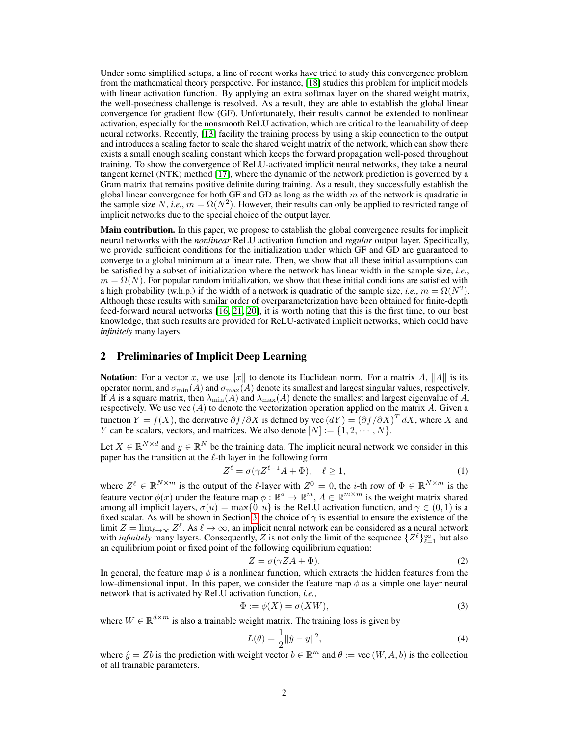Under some simplified setups, a line of recent works have tried to study this convergence problem from the mathematical theory perspective. For instance, [\[18\]](#page-9-13) studies this problem for implicit models with linear activation function. By applying an extra softmax layer on the shared weight matrix, the well-posedness challenge is resolved. As a result, they are able to establish the global linear convergence for gradient flow (GF). Unfortunately, their results cannot be extended to nonlinear activation, especially for the nonsmooth ReLU activation, which are critical to the learnability of deep neural networks. Recently, [\[13\]](#page-9-14) facility the training process by using a skip connection to the output and introduces a scaling factor to scale the shared weight matrix of the network, which can show there exists a small enough scaling constant which keeps the forward propagation well-posed throughout training. To show the convergence of ReLU-activated implicit neural networks, they take a neural tangent kernel (NTK) method [\[17\]](#page-9-15), where the dynamic of the network prediction is governed by a Gram matrix that remains positive definite during training. As a result, they successfully establish the global linear convergence for both GF and GD as long as the width  $m$  of the network is quadratic in the sample size N, *i.e.*,  $m = \Omega(N^2)$ . However, their results can only be applied to restricted range of implicit networks due to the special choice of the output layer.

Main contribution. In this paper, we propose to establish the global convergence results for implicit neural networks with the *nonlinear* ReLU activation function and *regular* output layer. Specifically, we provide sufficient conditions for the initialization under which GF and GD are guaranteed to converge to a global minimum at a linear rate. Then, we show that all these initial assumptions can be satisfied by a subset of initialization where the network has linear width in the sample size, *i.e.*,  $m = \Omega(N)$ . For popular random initialization, we show that these initial conditions are satisfied with a high probability (w.h.p.) if the width of a network is quadratic of the sample size, *i.e.*,  $m = \Omega(N^2)$ . Although these results with similar order of overparameterization have been obtained for finite-depth feed-forward neural networks [\[16,](#page-9-16) [21,](#page-9-8) [20\]](#page-9-10), it is worth noting that this is the first time, to our best knowledge, that such results are provided for ReLU-activated implicit networks, which could have *infinitely* many layers.

# 2 Preliminaries of Implicit Deep Learning

**Notation**: For a vector x, we use  $||x||$  to denote its Euclidean norm. For a matrix A,  $||A||$  is its operator norm, and  $\sigma_{\min}(A)$  and  $\sigma_{\max}(A)$  denote its smallest and largest singular values, respectively. If A is a square matrix, then  $\lambda_{\min}(A)$  and  $\lambda_{\max}(A)$  denote the smallest and largest eigenvalue of A, respectively. We use vec  $(A)$  to denote the vectorization operation applied on the matrix A. Given a function  $Y = f(X)$ , the derivative  $\partial f / \partial X$  is defined by vec  $(dY) = (\partial f / \partial X)^T dX$ , where X and Y can be scalars, vectors, and matrices. We also denote  $[N] := \{1, 2, \dots, N\}$ .

Let  $X \in \mathbb{R}^{N \times d}$  and  $y \in \mathbb{R}^N$  be the training data. The implicit neural network we consider in this paper has the transition at the  $\ell$ -th layer in the following form

$$
Z^{\ell} = \sigma(\gamma Z^{\ell-1}A + \Phi), \quad \ell \ge 1,
$$
\n(1)

where  $Z^{\ell} \in \mathbb{R}^{N \times m}$  is the output of the  $\ell$ -layer with  $Z^{0} = 0$ , the *i*-th row of  $\Phi \in \mathbb{R}^{N \times m}$  is the feature vector  $\phi(x)$  under the feature map  $\phi : \mathbb{R}^d \to \mathbb{R}^m$ ,  $A \in \mathbb{R}^{m \times m}$  is the weight matrix shared among all implicit layers,  $\sigma(u) = \max\{0, u\}$  is the ReLU activation function, and  $\gamma \in (0, 1)$  is a fixed scalar. As will be shown in Section [3,](#page-2-0) the choice of  $\gamma$  is essential to ensure the existence of the limit  $Z = \lim_{\ell \to \infty} Z^{\ell}$ . As  $\ell \to \infty$ , an implicit neural network can be considered as a neural network with *infinitely* many layers. Consequently, Z is not only the limit of the sequence  $\{Z^{\ell}\}_{\ell=1}^{\infty}$  but also an equilibrium point or fixed point of the following equilibrium equation:

<span id="page-1-1"></span><span id="page-1-0"></span>
$$
Z = \sigma(\gamma Z A + \Phi). \tag{2}
$$

In general, the feature map  $\phi$  is a nonlinear function, which extracts the hidden features from the low-dimensional input. In this paper, we consider the feature map  $\phi$  as a simple one layer neural network that is activated by ReLU activation function, *i.e.*,

$$
\Phi := \phi(X) = \sigma(XW),\tag{3}
$$

where  $W \in \mathbb{R}^{d \times m}$  is also a trainable weight matrix. The training loss is given by

<span id="page-1-2"></span>
$$
L(\theta) = \frac{1}{2} ||\hat{y} - y||^2,
$$
\n(4)

where  $\hat{y} = Zb$  is the prediction with weight vector  $b \in \mathbb{R}^m$  and  $\theta := \text{vec}(W, A, b)$  is the collection of all trainable parameters.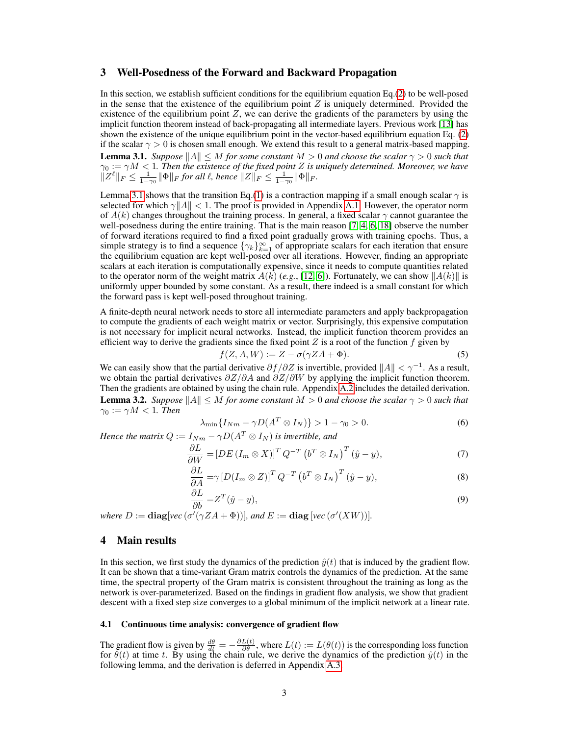# <span id="page-2-0"></span>3 Well-Posedness of the Forward and Backward Propagation

In this section, we establish sufficient conditions for the equilibrium equation Eq.[\(2\)](#page-1-0) to be well-posed in the sense that the existence of the equilibrium point  $Z$  is uniquely determined. Provided the existence of the equilibrium point  $Z$ , we can derive the gradients of the parameters by using the implicit function theorem instead of back-propagating all intermediate layers. Previous work [\[13\]](#page-9-14) has shown the existence of the unique equilibrium point in the vector-based equilibrium equation Eq. [\(2\)](#page-1-0) if the scalar  $\gamma > 0$  is chosen small enough. We extend this result to a general matrix-based mapping. **Lemma 3.1.** *Suppose*  $||A|| \leq M$  *for some constant*  $M > 0$  *and choose the scalar*  $\gamma > 0$  *such that*  $\gamma_0 := \gamma M < 1$ . Then the existence of the fixed point Z is uniquely determined. Moreover, we have  $||Z^{\ell}||_F \leq \frac{1}{1-\gamma_0} ||\Phi||_F$  for all  $\ell$ , hence  $||Z||_F \leq \frac{1}{1-\gamma_0} ||\Phi||_F$ .

<span id="page-2-1"></span>Lemma [3.1](#page-2-1) shows that the transition Eq.[\(1\)](#page-1-1) is a contraction mapping if a small enough scalar  $\gamma$  is selected for which  $\gamma ||A|| < 1$ . The proof is provided in Appendix [A.1.](#page-11-0) However, the operator norm of  $A(k)$  changes throughout the training process. In general, a fixed scalar  $\gamma$  cannot guarantee the well-posedness during the entire training. That is the main reason [\[7,](#page-9-11) [4,](#page-9-0) [6,](#page-9-12) [18\]](#page-9-13) observe the number of forward iterations required to find a fixed point gradually grows with training epochs. Thus, a simple strategy is to find a sequence  $\{\gamma_k\}_{k=1}^{\infty}$  of appropriate scalars for each iteration that ensure the equilibrium equation are kept well-posed over all iterations. However, finding an appropriate scalars at each iteration is computationally expensive, since it needs to compute quantities related to the operator norm of the weight matrix  $A(k)$  (*e.g.*, [\[12,](#page-9-4) [6\]](#page-9-12)). Fortunately, we can show  $||A(k)||$  is uniformly upper bounded by some constant. As a result, there indeed is a small constant for which the forward pass is kept well-posed throughout training.

A finite-depth neural network needs to store all intermediate parameters and apply backpropagation to compute the gradients of each weight matrix or vector. Surprisingly, this expensive computation is not necessary for implicit neural networks. Instead, the implicit function theorem provides an efficient way to derive the gradients since the fixed point  $Z$  is a root of the function  $f$  given by

$$
f(Z, A, W) := Z - \sigma(\gamma Z A + \Phi). \tag{5}
$$

<span id="page-2-2"></span>We can easily show that the partial derivative  $\partial f/\partial Z$  is invertible, provided  $||A|| < \gamma^{-1}$ . As a result, we obtain the partial derivatives  $\partial Z/\partial A$  and  $\partial Z/\partial W$  by applying the implicit function theorem. Then the gradients are obtained by using the chain rule. Appendix [A.2](#page-11-1) includes the detailed derivation. **Lemma 3.2.** *Suppose*  $||A|| \leq M$  *for some constant*  $M > 0$  *and choose the scalar*  $\gamma > 0$  *such that*  $\gamma_0 := \gamma M < 1$ *. Then* 

$$
\lambda_{\min}\{I_{Nm} - \gamma D(A^T \otimes I_N)\} > 1 - \gamma_0 > 0. \tag{6}
$$

*Hence the matrix*  $Q := I_{Nm} - \gamma D(A^T \otimes I_N)$  *is invertible, and* 

$$
\frac{\partial L}{\partial W} = \left[DE\left(I_m \otimes X\right)\right]^T Q^{-T} \left(b^T \otimes I_N\right)^T \left(\hat{y} - y\right),\tag{7}
$$

$$
\frac{\partial L}{\partial A} = \gamma \left[ D(I_m \otimes Z) \right]^T Q^{-T} \left( b^T \otimes I_N \right)^T (\hat{y} - y), \tag{8}
$$

$$
\frac{\partial L}{\partial b} = Z^T(\hat{y} - y),\tag{9}
$$

*where*  $D := \text{diag}[\text{vec}(\sigma'(\gamma Z A + \Phi))],$  and  $E := \text{diag}[\text{vec}(\sigma'(\text{X}W))].$ 

#### 4 Main results

In this section, we first study the dynamics of the prediction  $\hat{y}(t)$  that is induced by the gradient flow. It can be shown that a time-variant Gram matrix controls the dynamics of the prediction. At the same time, the spectral property of the Gram matrix is consistent throughout the training as long as the network is over-parameterized. Based on the findings in gradient flow analysis, we show that gradient descent with a fixed step size converges to a global minimum of the implicit network at a linear rate.

#### 4.1 Continuous time analysis: convergence of gradient flow

The gradient flow is given by  $\frac{d\theta}{dt} = -\frac{\partial L(t)}{\partial \theta}$ , where  $L(t) := L(\theta(t))$  is the corresponding loss function for  $\theta(t)$  at time t. By using the chain rule, we derive the dynamics of the prediction  $\hat{y}(t)$  in the following lemma, and the derivation is deferred in Appendix [A.3.](#page-13-0)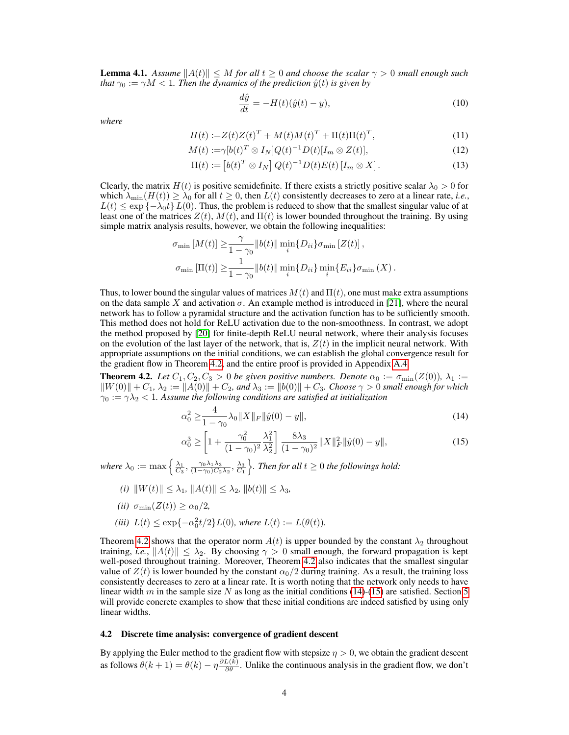<span id="page-3-3"></span>**Lemma 4.1.** Assume  $||A(t)|| \leq M$  for all  $t > 0$  and choose the scalar  $\gamma > 0$  small enough such *that*  $\gamma_0 := \gamma M < 1$ *. Then the dynamics of the prediction*  $\hat{y}(t)$  *is given by* 

$$
\frac{d\hat{y}}{dt} = -H(t)(\hat{y}(t) - y),\tag{10}
$$

*where*

$$
H(t) := Z(t)Z(t)^{T} + M(t)M(t)^{T} + \Pi(t)\Pi(t)^{T},
$$
\n(11)

$$
M(t) := \gamma [b(t)^T \otimes I_N] Q(t)^{-1} D(t) [I_m \otimes Z(t)], \qquad (12)
$$

$$
\Pi(t) := \left[ b(t)^T \otimes I_N \right] Q(t)^{-1} D(t) E(t) \left[ I_m \otimes X \right]. \tag{13}
$$

Clearly, the matrix  $H(t)$  is positive semidefinite. If there exists a strictly positive scalar  $\lambda_0 > 0$  for which  $\lambda_{\min}(H(t)) \geq \lambda_0$  for all  $t \geq 0$ , then  $L(t)$  consistently decreases to zero at a linear rate, *i.e.*,  $L(t) \leq \exp\{-\lambda_0 t\} L(0)$ . Thus, the problem is reduced to show that the smallest singular value of at least one of the matrices  $Z(t)$ ,  $M(t)$ , and  $\Pi(t)$  is lower bounded throughout the training. By using simple matrix analysis results, however, we obtain the following inequalities:

$$
\sigma_{\min}[M(t)] \geq \frac{\gamma}{1-\gamma_0} ||b(t)|| \min_i \{D_{ii}\} \sigma_{\min}[Z(t)],
$$
  

$$
\sigma_{\min}[\Pi(t)] \geq \frac{1}{1-\gamma_0} ||b(t)|| \min_i \{D_{ii}\} \min_i \{E_{ii}\} \sigma_{\min}(X).
$$

Thus, to lower bound the singular values of matrices  $M(t)$  and  $\Pi(t)$ , one must make extra assumptions on the data sample X and activation  $\sigma$ . An example method is introduced in [\[21\]](#page-9-8), where the neural network has to follow a pyramidal structure and the activation function has to be sufficiently smooth. This method does not hold for ReLU activation due to the non-smoothness. In contrast, we adopt the method proposed by [\[20\]](#page-9-10) for finite-depth ReLU neural network, where their analysis focuses on the evolution of the last layer of the network, that is,  $Z(t)$  in the implicit neural network. With appropriate assumptions on the initial conditions, we can establish the global convergence result for the gradient flow in Theorem [4.2,](#page-3-0) and the entire proof is provided in Appendix [A.4.](#page-13-1)

<span id="page-3-0"></span>**Theorem 4.2.** *Let*  $C_1, C_2, C_3 > 0$  *be given positive numbers. Denote*  $\alpha_0 := \sigma_{\min}(Z(0))$ ,  $\lambda_1 :=$  $\|W(0)\| + C_1$ ,  $\lambda_2 := \|A(0)\| + C_2$ , and  $\lambda_3 := \|b(0)\| + C_3$ . Choose  $\gamma > 0$  small enough for which  $\gamma_0 := \gamma \lambda_2 < 1$ . Assume the following conditions are satisfied at initialization

<span id="page-3-1"></span>
$$
\alpha_0^2 \ge \frac{4}{1 - \gamma_0} \lambda_0 \|X\|_F \|\hat{y}(0) - y\|,\tag{14}
$$

<span id="page-3-2"></span>
$$
\alpha_0^3 \ge \left[ 1 + \frac{\gamma_0^2}{(1 - \gamma_0)^2} \frac{\lambda_1^2}{\lambda_2^2} \right] \frac{8\lambda_3}{(1 - \gamma_0)^2} \|X\|_F^2 \|\hat{y}(0) - y\|,\tag{15}
$$

where  $\lambda_0 := \max\left\{\frac{\lambda_1}{C_3}, \frac{\gamma_0\lambda_1\lambda_3}{(1-\gamma_0)C_2\lambda_2}, \frac{\lambda_3}{C_1}\right\}$ . Then for all  $t \geq 0$  the followings hold:

- *(i)*  $||W(t)|| \leq \lambda_1$ ,  $||A(t)|| \leq \lambda_2$ ,  $||b(t)|| \leq \lambda_3$ ,
- *(ii)*  $\sigma_{\min}(Z(t)) \geq \alpha_0/2$ ,
- (*iii*)  $L(t) \le \exp\{-\alpha_0^2 t/2\}L(0)$ *, where*  $L(t) := L(\theta(t))$ *.*

Theorem [4.2](#page-3-0) shows that the operator norm  $A(t)$  is upper bounded by the constant  $\lambda_2$  throughout training, *i.e.*,  $||A(t)|| \leq \lambda_2$ . By choosing  $\gamma > 0$  small enough, the forward propagation is kept well-posed throughout training. Moreover, Theorem [4.2](#page-3-0) also indicates that the smallest singular value of  $Z(t)$  is lower bounded by the constant  $\alpha_0/2$  during training. As a result, the training loss consistently decreases to zero at a linear rate. It is worth noting that the network only needs to have linear width m in the sample size N as long as the initial conditions [\(14\)](#page-3-1)-[\(15\)](#page-3-2) are satisfied. Section [5](#page-4-0) will provide concrete examples to show that these initial conditions are indeed satisfied by using only linear widths.

#### 4.2 Discrete time analysis: convergence of gradient descent

By applying the Euler method to the gradient flow with stepsize  $\eta > 0$ , we obtain the gradient descent as follows  $\theta(k+1) = \theta(k) - \eta \frac{\partial L(k)}{\partial \theta}$ . Unlike the continuous analysis in the gradient flow, we don't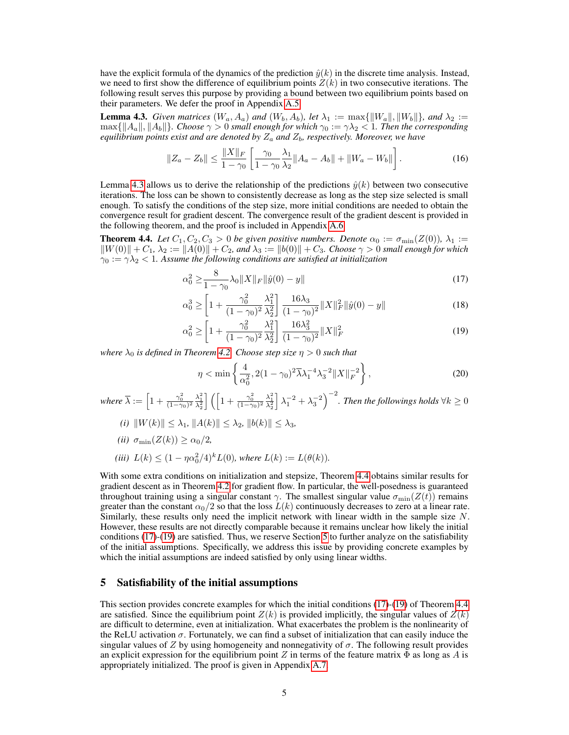have the explicit formula of the dynamics of the prediction  $\hat{y}(k)$  in the discrete time analysis. Instead, we need to first show the difference of equilibrium points  $Z(k)$  in two consecutive iterations. The following result serves this purpose by providing a bound between two equilibrium points based on their parameters. We defer the proof in Appendix [A.5.](#page-16-0)

<span id="page-4-1"></span>**Lemma 4.3.** *Given matrices*  $(W_a, A_a)$  *and*  $(W_b, A_b)$ *, let*  $\lambda_1 := \max{\{||W_a||, ||W_b||\}}$ *, and*  $\lambda_2 :=$  $\max\{\|A_a\|,\|A_b\|\}$ *. Choose*  $\gamma > 0$  *small enough for which*  $\gamma_0 := \gamma \lambda_2 < 1$ *. Then the corresponding*  $e$ quilibrium points exist and are denoted by  $Z_a$  and  $Z_b$ , respectively. Moreover, we have

$$
||Z_a - Z_b|| \le \frac{||X||_F}{1 - \gamma_0} \left[ \frac{\gamma_0}{1 - \gamma_0} \frac{\lambda_1}{\lambda_2} ||A_a - A_b|| + ||W_a - W_b|| \right].
$$
 (16)

Lemma [4.3](#page-4-1) allows us to derive the relationship of the predictions  $\hat{y}(k)$  between two consecutive iterations. The loss can be shown to consistently decrease as long as the step size selected is small enough. To satisfy the conditions of the step size, more initial conditions are needed to obtain the convergence result for gradient descent. The convergence result of the gradient descent is provided in the following theorem, and the proof is included in Appendix [A.6.](#page-17-0)

<span id="page-4-2"></span>**Theorem 4.4.** Let  $C_1, C_2, C_3 > 0$  be given positive numbers. Denote  $\alpha_0 := \sigma_{\min}(Z(0))$ ,  $\lambda_1 :=$  $\|W(0)\| + C_1$ ,  $\lambda_2 := \|A(0)\| + C_2$ , and  $\lambda_3 := \|b(0)\| + C_3$ . Choose  $\gamma > 0$  small enough for which  $\gamma_0 := \gamma \lambda_2 < 1$ . Assume the following conditions are satisfied at initialization

$$
\alpha_0^2 \ge \frac{8}{1 - \gamma_0} \lambda_0 \|X\|_F \|\hat{y}(0) - y\| \tag{17}
$$

$$
\alpha_0^3 \ge \left[ 1 + \frac{\gamma_0^2}{(1 - \gamma_0)^2} \frac{\lambda_1^2}{\lambda_2^2} \right] \frac{16\lambda_3}{(1 - \gamma_0)^2} \|X\|_F^2 \|\hat{y}(0) - y\| \tag{18}
$$

$$
\alpha_0^2 \ge \left[ 1 + \frac{\gamma_0^2}{(1 - \gamma_0)^2} \frac{\lambda_1^2}{\lambda_2^2} \right] \frac{16\lambda_3^2}{(1 - \gamma_0)^2} \|X\|_F^2 \tag{19}
$$

*where*  $\lambda_0$  *is defined in Theorem* [4.2.](#page-3-0) *Choose step size*  $\eta > 0$  *such that* 

<span id="page-4-5"></span><span id="page-4-4"></span><span id="page-4-3"></span>
$$
\eta < \min\left\{\frac{4}{\alpha_0^2}, 2(1-\gamma_0)^2 \overline{\lambda} \lambda_1^{-4} \lambda_3^{-2} \|X\|_F^{-2}\right\},\tag{20}
$$

where  $\overline{\lambda} := \left[1 + \frac{\gamma_0^2}{(1-\gamma_0)^2}\frac{\lambda_1^2}{\lambda_2^2}\right]\left(\left[1 + \frac{\gamma_0^2}{(1-\gamma_0)^2}\frac{\lambda_1^2}{\lambda_2^2}\right]\right)$  $\Big] \, \lambda_1^{-2} + \lambda_3^{-2} \Big)^{-2}$ . Then the followings holds  $\forall k \geq 0$ 

- $(i)$   $\|W(k)\| \leq \lambda_1$ ,  $\|A(k)\| \leq \lambda_2$ ,  $\|b(k)\| \leq \lambda_3$ ,
- *(ii)*  $\sigma_{\min}(Z(k)) > \alpha_0/2$ ,
- (*iii*)  $L(k) \leq (1 \eta \alpha_0^2/4)^k L(0)$ *, where*  $L(k) := L(\theta(k))$ *.*

With some extra conditions on initialization and stepsize, Theorem [4.4](#page-4-2) obtains similar results for gradient descent as in Theorem [4.2](#page-3-0) for gradient flow. In particular, the well-posedness is guaranteed throughout training using a singular constant  $\gamma$ . The smallest singular value  $\sigma_{\min}(Z(t))$  remains greater than the constant  $\alpha_0/2$  so that the loss  $L(k)$  continuously decreases to zero at a linear rate. Similarly, these results only need the implicit network with linear width in the sample size  $N$ . However, these results are not directly comparable because it remains unclear how likely the initial conditions [\(17\)](#page-4-3)-[\(19\)](#page-4-4) are satisfied. Thus, we reserve Section [5](#page-4-0) to further analyze on the satisfiability of the initial assumptions. Specifically, we address this issue by providing concrete examples by which the initial assumptions are indeed satisfied by only using linear widths.

## <span id="page-4-0"></span>5 Satisfiability of the initial assumptions

This section provides concrete examples for which the initial conditions [\(17\)](#page-4-3)-[\(19\)](#page-4-4) of Theorem [4.4](#page-4-2) are satisfied. Since the equilibrium point  $Z(k)$  is provided implicitly, the singular values of  $Z(k)$ are difficult to determine, even at initialization. What exacerbates the problem is the nonlinearity of the ReLU activation  $\sigma$ . Fortunately, we can find a subset of initialization that can easily induce the singular values of Z by using homogeneity and nonnegativity of  $\sigma$ . The following result provides an explicit expression for the equilibrium point Z in terms of the feature matrix  $\Phi$  as long as A is appropriately initialized. The proof is given in Appendix [A.7.](#page-20-0)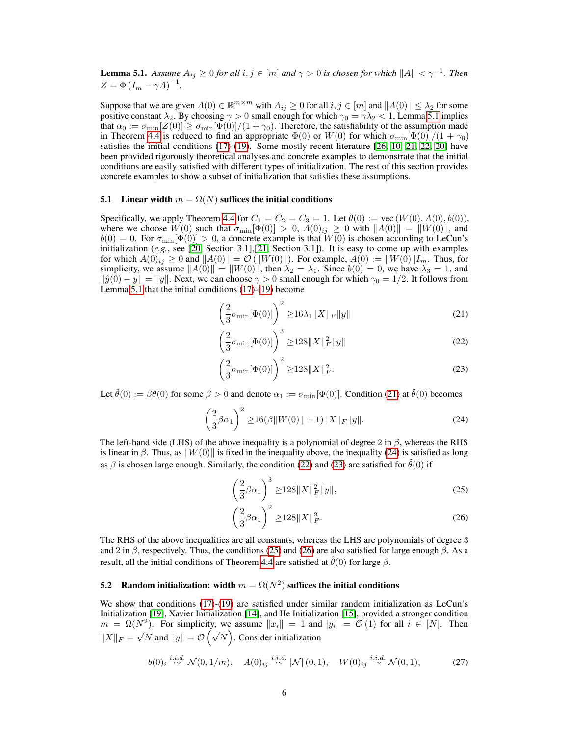<span id="page-5-0"></span>**Lemma 5.1.** Assume  $A_{ij} \ge 0$  for all  $i, j \in [m]$  and  $\gamma > 0$  is chosen for which  $||A|| < \gamma^{-1}$ . Then  $Z = \Phi (I_m - \gamma A)^{-1}.$ 

Suppose that we are given  $A(0) \in \mathbb{R}^{m \times m}$  with  $A_{ij} \ge 0$  for all  $i, j \in [m]$  and  $||A(0)|| \le \lambda_2$  for some positive constant  $\lambda_2$ . By choosing  $\gamma > 0$  small enough for which  $\gamma_0 = \gamma \lambda_2 < 1$ , Lemma [5.1](#page-5-0) implies that  $\alpha_0 := \sigma_{\min}[Z(0)] \ge \sigma_{\min}[\Phi(0)]/(1+\gamma_0)$ . Therefore, the satisfiability of the assumption made in Theorem [4.4](#page-4-2) is reduced to find an appropriate  $\Phi(0)$  or  $W(0)$  for which  $\sigma_{\min}[\Phi(0)]/(1+\gamma_0)$ satisfies the initial conditions [\(17\)](#page-4-3)-[\(19\)](#page-4-4). Some mostly recent literature [\[26,](#page-10-3) [10,](#page-9-6) [21,](#page-9-8) [22,](#page-10-4) [20\]](#page-9-10) have been provided rigorously theoretical analyses and concrete examples to demonstrate that the initial conditions are easily satisfied with different types of initialization. The rest of this section provides concrete examples to show a subset of initialization that satisfies these assumptions.

## 5.1 Linear width  $m = \Omega(N)$  suffices the initial conditions

Specifically, we apply Theorem [4.4](#page-4-2) for  $C_1 = C_2 = C_3 = 1$ . Let  $\theta(0) := \text{vec}(W(0), A(0), b(0)),$ where we choose  $W(0)$  such that  $\sigma_{\min}[\Phi(0)] > 0$ ,  $A(0)_{ij} \ge 0$  with  $||A(0)|| = ||W(0)||$ , and  $b(0) = 0$ . For  $\sigma_{\min}[\Phi(0)] > 0$ , a concrete example is that  $W(0)$  is chosen according to LeCun's initialization (*e.g.*, see [\[20,](#page-9-10) Section 3.1],[\[21,](#page-9-8) Section 3.1]). It is easy to come up with examples for which  $A(0)_{ij} \ge 0$  and  $||A(0)|| = \mathcal{O}(||W(0)||)$ . For example,  $A(0) := ||W(0)||I_m$ . Thus, for simplicity, we assume  $||A(0)|| = ||W(0)||$ , then  $\lambda_2 = \lambda_1$ . Since  $b(0) = 0$ , we have  $\lambda_3 = 1$ , and  $\|\hat{y}(0) - y\| = \|y\|$ . Next, we can choose  $\gamma > 0$  small enough for which  $\gamma_0 = 1/2$ . It follows from Lemma [5.1](#page-5-0) that the initial conditions [\(17\)](#page-4-3)-[\(19\)](#page-4-4) become

<span id="page-5-1"></span>
$$
\left(\frac{2}{3}\sigma_{\min}[\Phi(0)]\right)^2 \ge 16\lambda_1 \|X\|_F \|y\| \tag{21}
$$

<span id="page-5-3"></span>
$$
\left(\frac{2}{3}\sigma_{\min}[\Phi(0)]\right)^3 \ge 128\|X\|_F^2\|y\| \tag{22}
$$

<span id="page-5-4"></span>
$$
\left(\frac{2}{3}\sigma_{\min}[\Phi(0)]\right)^2 \ge 128 \|X\|_F^2.
$$
\n(23)

Let  $\tilde{\theta}(0) := \beta \theta(0)$  for some  $\beta > 0$  and denote  $\alpha_1 := \sigma_{\min}[\Phi(0)]$ . Condition [\(21\)](#page-5-1) at  $\tilde{\theta}(0)$  becomes

$$
\left(\frac{2}{3}\beta\alpha_1\right)^2 \ge 16(\beta \|W(0)\|+1)\|X\|_F \|y\|.\tag{24}
$$

The left-hand side (LHS) of the above inequality is a polynomial of degree 2 in  $\beta$ , whereas the RHS is linear in  $\beta$ . Thus, as  $\|W(0)\|$  is fixed in the inequality above, the inequality [\(24\)](#page-5-2) is satisfied as long as  $\beta$  is chosen large enough. Similarly, the condition [\(22\)](#page-5-3) and [\(23\)](#page-5-4) are satisfied for  $\theta(0)$  if

<span id="page-5-5"></span><span id="page-5-2"></span>
$$
\left(\frac{2}{3}\beta\alpha_1\right)^3 \ge 128 \|X\|_F^2 \|y\|,\tag{25}
$$

<span id="page-5-6"></span>
$$
\left(\frac{2}{3}\beta\alpha_1\right)^2 \ge 128 \|X\|_F^2. \tag{26}
$$

The RHS of the above inequalities are all constants, whereas the LHS are polynomials of degree 3 and 2 in  $\beta$ , respectively. Thus, the conditions [\(25\)](#page-5-5) and [\(26\)](#page-5-6) are also satisfied for large enough  $\beta$ . As a result, all the initial conditions of Theorem [4.4](#page-4-2) are satisfied at  $\hat{\theta}(0)$  for large  $\beta$ .

# 5.2 Random initialization: width  $m = \Omega(N^2)$  suffices the initial conditions

We show that conditions [\(17\)](#page-4-3)-[\(19\)](#page-4-4) are satisfied under similar random initialization as LeCun's Initialization [\[19\]](#page-9-17), Xavier Initialization [\[14\]](#page-9-18), and He Initialization [\[15\]](#page-9-19), provided a stronger condition  $m = \Omega(N^2)$ . For simplicity, we assume  $||x_i|| = 1$  and  $|y_i| = \mathcal{O}(1)$  for all  $i \in [N]$ . Then  $\|X\|_F =$ √  $\overline{N}$  and  $||y|| = O(\sqrt{N})$ . Consider initialization

$$
b(0)_i \stackrel{i.i.d.}{\sim} \mathcal{N}(0,1/m), \quad A(0)_{ij} \stackrel{i.i.d.}{\sim} |\mathcal{N}|(0,1), \quad W(0)_{ij} \stackrel{i.i.d.}{\sim} \mathcal{N}(0,1), \tag{27}
$$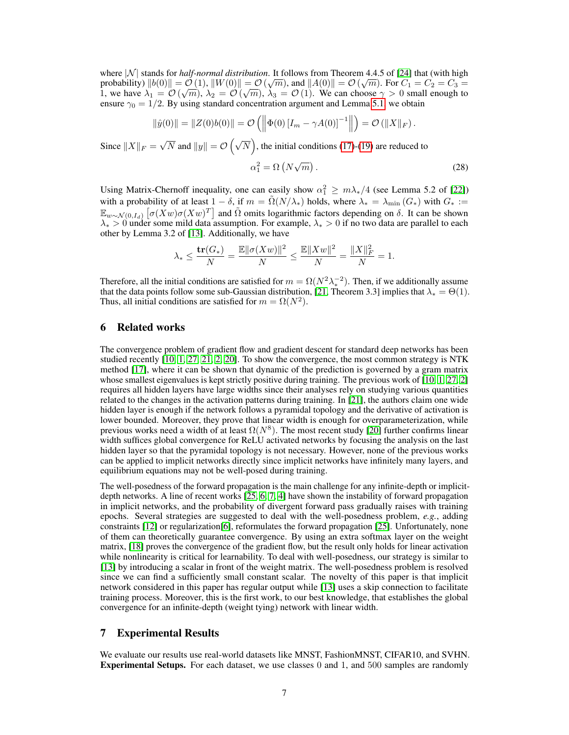where  $|\mathcal{N}|$  stands for *half-normal distribution*. It follows from Theorem 4.4.5 of [\[24\]](#page-10-5) that (with high probability)  $\|b(0)\| = \mathcal{O}(1)$ ,  $\|W(0)\| = \mathcal{O}(\sqrt{m})$ , and  $\|A(0)\| = \mathcal{O}(\sqrt{m})$ . For  $C_1 = C_2 = C_3 = 0$ probability)  $||o(0)|| = O(1)$ ,  $||W(0)|| = O(\sqrt{m})$ , and  $||A(0)|| = O(\sqrt{m})$ . For  $C_1 = C_2 = C_3 = 1$ , we have  $\lambda_1 = O(\sqrt{m})$ ,  $\lambda_2 = O(\sqrt{m})$ ,  $\lambda_3 = O(1)$ . We can choose  $\gamma > 0$  small enough to ensure  $\gamma_0 = 1/2$ . By using standard concentration argument and Lemma [5.1,](#page-5-0) we obtain

$$
\|\hat{y}(0)\| = \|Z(0)b(0)\| = \mathcal{O}\left(\left\|\Phi(0)\left[I_m - \gamma A(0)\right]^{-1}\right\|\right) = \mathcal{O}\left(\|X\|_F\right).
$$

Since  $||X||_F =$ √  $\overline{N}$  and  $||y|| = \mathcal{O}\left(\sqrt{N}\right)$ , the initial conditions [\(17\)](#page-4-3)-[\(19\)](#page-4-4) are reduced to

$$
\alpha_1^2 = \Omega\left(N\sqrt{m}\right). \tag{28}
$$

Using Matrix-Chernoff inequality, one can easily show  $\alpha_1^2 \geq m\lambda_*/4$  (see Lemma 5.2 of [\[22\]](#page-10-4)) with a probability of at least  $1 - \delta$ , if  $m = \tilde{\Omega}(N/\lambda_*)$  holds, where  $\lambda_* = \lambda_{\min}(G_*)$  with  $G_* :=$  $\mathbb{E}_{w \sim \mathcal{N}(0,I_d)} \left[\sigma(Xw)\sigma(Xw)^T\right]$  and  $\tilde{\Omega}$  omits logarithmic factors depending on  $\delta$ . It can be shown  $\lambda_* > 0$  under some mild data assumption. For example,  $\lambda_* > 0$  if no two data are parallel to each other by Lemma 3.2 of [\[13\]](#page-9-14). Additionally, we have

$$
\lambda_* \le \frac{\mathbf{tr}(G_*)}{N} = \frac{\mathbb{E} \|\sigma(Xw)\|^2}{N} \le \frac{\mathbb{E} \|Xw\|^2}{N} = \frac{\|X\|_F^2}{N} = 1.
$$

Therefore, all the initial conditions are satisfied for  $m = \Omega(N^2 \lambda_*^{-2})$ . Then, if we additionally assume that the data points follow some sub-Gaussian distribution, [\[21,](#page-9-8) Theorem 3.3] implies that  $\lambda_* = \Theta(1)$ . Thus, all initial conditions are satisfied for  $m = \Omega(N^2)$ .

# 6 Related works

The convergence problem of gradient flow and gradient descent for standard deep networks has been studied recently [\[10,](#page-9-6) [1,](#page-9-7) [27,](#page-10-0) [21,](#page-9-8) [2,](#page-9-9) [20\]](#page-9-10). To show the convergence, the most common strategy is NTK method [\[17\]](#page-9-15), where it can be shown that dynamic of the prediction is governed by a gram matrix whose smallest eigenvalues is kept strictly positive during training. The previous work of  $[10, 1, 27, 2]$  $[10, 1, 27, 2]$  $[10, 1, 27, 2]$  $[10, 1, 27, 2]$  $[10, 1, 27, 2]$  $[10, 1, 27, 2]$  $[10, 1, 27, 2]$ requires all hidden layers have large widths since their analyses rely on studying various quantities related to the changes in the activation patterns during training. In [\[21\]](#page-9-8), the authors claim one wide hidden layer is enough if the network follows a pyramidal topology and the derivative of activation is lower bounded. Moreover, they prove that linear width is enough for overparameterization, while previous works need a width of at least  $\Omega(N^8)$ . The most recent study [\[20\]](#page-9-10) further confirms linear width suffices global convergence for ReLU activated networks by focusing the analysis on the last hidden layer so that the pyramidal topology is not necessary. However, none of the previous works can be applied to implicit networks directly since implicit networks have infinitely many layers, and equilibrium equations may not be well-posed during training.

The well-posedness of the forward propagation is the main challenge for any infinite-depth or implicitdepth networks. A line of recent works [\[25,](#page-10-2) [6,](#page-9-12) [7,](#page-9-11) [4\]](#page-9-0) have shown the instability of forward propagation in implicit networks, and the probability of divergent forward pass gradually raises with training epochs. Several strategies are suggested to deal with the well-posedness problem, *e.g.*, adding constraints [\[12\]](#page-9-4) or regularization[\[6\]](#page-9-12), reformulates the forward propagation [\[25\]](#page-10-2). Unfortunately, none of them can theoretically guarantee convergence. By using an extra softmax layer on the weight matrix, [\[18\]](#page-9-13) proves the convergence of the gradient flow, but the result only holds for linear activation while nonlinearity is critical for learnability. To deal with well-posedness, our strategy is similar to [\[13\]](#page-9-14) by introducing a scalar in front of the weight matrix. The well-posedness problem is resolved since we can find a sufficiently small constant scalar. The novelty of this paper is that implicit network considered in this paper has regular output while [\[13\]](#page-9-14) uses a skip connection to facilitate training process. Moreover, this is the first work, to our best knowledge, that establishes the global convergence for an infinite-depth (weight tying) network with linear width.

# 7 Experimental Results

We evaluate our results use real-world datasets like MNST, FashionMNST, CIFAR10, and SVHN. Experimental Setups. For each dataset, we use classes 0 and 1, and 500 samples are randomly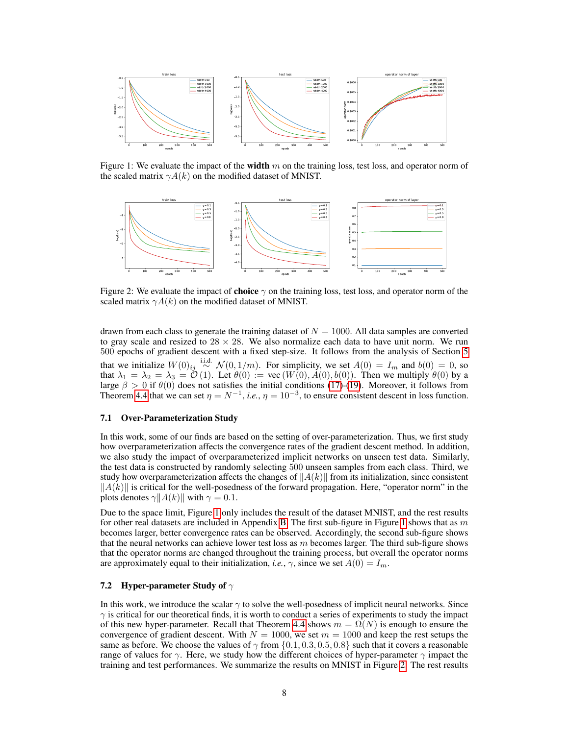

<span id="page-7-0"></span>Figure 1: We evaluate the impact of the **width** m on the training loss, test loss, and operator norm of the scaled matrix  $\gamma A(k)$  on the modified dataset of MNIST.



<span id="page-7-1"></span>Figure 2: We evaluate the impact of **choice**  $\gamma$  on the training loss, test loss, and operator norm of the scaled matrix  $\gamma A(k)$  on the modified dataset of MNIST.

drawn from each class to generate the training dataset of  $N = 1000$ . All data samples are converted to gray scale and resized to  $28 \times 28$ . We also normalize each data to have unit norm. We run 500 epochs of gradient descent with a fixed step-size. It follows from the analysis of Section [5](#page-4-0) that we initialize  $W(0)_{ij} \stackrel{\text{i.i.d.}}{\sim} \mathcal{N}(0, 1/m)$ . For simplicity, we set  $A(0) = I_m$  and  $b(0) = 0$ , so that  $\lambda_1 = \lambda_2 = \lambda_3 = \mathcal{O}(1)$ . Let  $\theta(0) := \text{vec}(W(0), A(0), b(0))$ . Then we multiply  $\theta(0)$  by a large  $\beta > 0$  if  $\theta(0)$  does not satisfies the initial conditions [\(17\)](#page-4-3)-[\(19\)](#page-4-4). Moreover, it follows from Theorem [4.4](#page-4-2) that we can set  $\eta = N^{-1}$ , *i.e.*,  $\eta = 10^{-3}$ , to ensure consistent descent in loss function.

#### 7.1 Over-Parameterization Study

In this work, some of our finds are based on the setting of over-parameterization. Thus, we first study how overparameterization affects the convergence rates of the gradient descent method. In addition, we also study the impact of overparameterized implicit networks on unseen test data. Similarly, the test data is constructed by randomly selecting 500 unseen samples from each class. Third, we study how overparameterization affects the changes of  $||A(k)||$  from its initialization, since consistent  $||A(k)||$  is critical for the well-posedness of the forward propagation. Here, "operator norm" in the plots denotes  $\gamma$ || $A(k)$ || with  $\gamma = 0.1$ .

Due to the space limit, Figure [1](#page-7-0) only includes the result of the dataset MNIST, and the rest results for other real datasets are included in Appendix [B.](#page-21-0) The first sub-figure in Figure [1](#page-7-0) shows that as  $m$ becomes larger, better convergence rates can be observed. Accordingly, the second sub-figure shows that the neural networks can achieve lower test loss as  $m$  becomes larger. The third sub-figure shows that the operator norms are changed throughout the training process, but overall the operator norms are approximately equal to their initialization, *i.e.*,  $\gamma$ , since we set  $A(0) = I_m$ .

#### 7.2 Hyper-parameter Study of  $\gamma$

In this work, we introduce the scalar  $\gamma$  to solve the well-posedness of implicit neural networks. Since  $\gamma$  is critical for our theoretical finds, it is worth to conduct a series of experiments to study the impact of this new hyper-parameter. Recall that Theorem [4.4](#page-4-2) shows  $m = \Omega(N)$  is enough to ensure the convergence of gradient descent. With  $N = 1000$ , we set  $m = 1000$  and keep the rest setups the same as before. We choose the values of  $\gamma$  from  $\{0.1, 0.3, 0.5, 0.8\}$  such that it covers a reasonable range of values for  $\gamma$ . Here, we study how the different choices of hyper-parameter  $\gamma$  impact the training and test performances. We summarize the results on MNIST in Figure [2.](#page-7-1) The rest results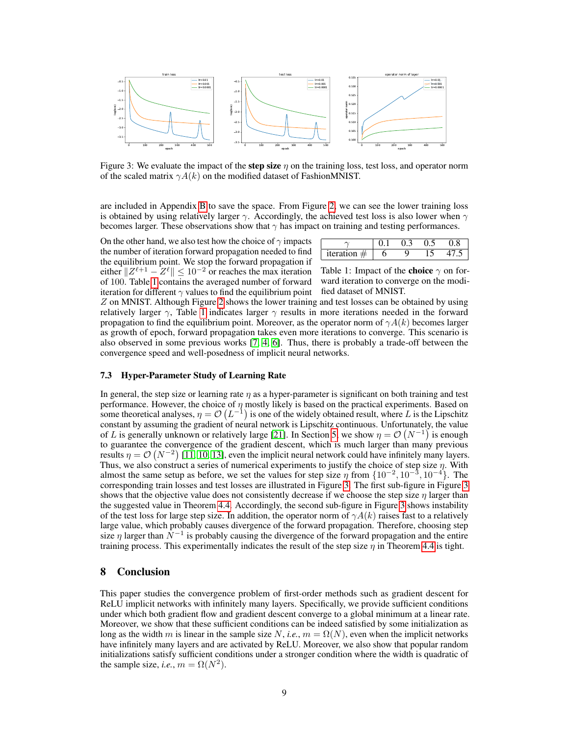

<span id="page-8-1"></span>Figure 3: We evaluate the impact of the **step size**  $\eta$  on the training loss, test loss, and operator norm of the scaled matrix  $\gamma A(k)$  on the modified dataset of FashionMNIST.

are included in Appendix [B](#page-21-0) to save the space. From Figure [2,](#page-7-1) we can see the lower training loss is obtained by using relatively larger  $\gamma$ . Accordingly, the achieved test loss is also lower when  $\gamma$ becomes larger. These observations show that  $\gamma$  has impact on training and testing performances.

On the other hand, we also test how the choice of  $\gamma$  impacts the number of iteration forward propagation needed to find the equilibrium point. We stop the forward propagation if either  $||Z^{\ell+1} - Z^{\ell}|| \leq 10^{-2}$  or reaches the max iteration of 100. Table [1](#page-8-0) contains the averaged number of forward iteration for different  $\gamma$  values to find the equilibrium point

| iteration $\pm$ |  |  |
|-----------------|--|--|

<span id="page-8-0"></span>Table 1: Impact of the **choice**  $\gamma$  on forward iteration to converge on the modified dataset of MNIST.

Z on MNIST. Although Figure [2](#page-7-1) shows the lower training and test losses can be obtained by using relatively larger  $\gamma$ , Table [1](#page-8-0) indicates larger  $\gamma$  results in more iterations needed in the forward propagation to find the equilibrium point. Moreover, as the operator norm of  $\gamma A(k)$  becomes larger as growth of epoch, forward propagation takes even more iterations to converge. This scenario is also observed in some previous works [\[7,](#page-9-11) [4,](#page-9-0) [6\]](#page-9-12). Thus, there is probably a trade-off between the convergence speed and well-posedness of implicit neural networks.

#### 7.3 Hyper-Parameter Study of Learning Rate

In general, the step size or learning rate  $\eta$  as a hyper-parameter is significant on both training and test performance. However, the choice of  $\eta$  mostly likely is based on the practical experiments. Based on some theoretical analyses,  $\eta = \mathcal{O}(L^{-1})$  is one of the widely obtained result, where L is the Lipschitz constant by assuming the gradient of neural network is Lipschitz continuous. Unfortunately, the value of L is generally unknown or relatively large [\[21\]](#page-9-8). In Section [5,](#page-4-0) we show  $\eta = \mathcal{O}(N^{-1})$  is enough to guarantee the convergence of the gradient descent, which is much larger than many previous results  $\eta = \mathcal{O}(N^{-2})$  [\[11,](#page-9-20) [10,](#page-9-6) [13\]](#page-9-14), even the implicit neural network could have infinitely many layers. Thus, we also construct a series of numerical experiments to justify the choice of step size  $\eta$ . With almost the same setup as before, we set the values for step size  $\eta$  from  $\{10^{-2}, 10^{-3}, 10^{-4}\}$ . The corresponding train losses and test losses are illustrated in Figure [3.](#page-8-1) The first sub-figure in Figure [3](#page-8-1) shows that the objective value does not consistently decrease if we choose the step size  $\eta$  larger than the suggested value in Theorem [4.4.](#page-4-2) Accordingly, the second sub-figure in Figure [3](#page-8-1) shows instability of the test loss for large step size. In addition, the operator norm of  $\gamma A(k)$  raises fast to a relatively large value, which probably causes divergence of the forward propagation. Therefore, choosing step size  $\eta$  larger than  $\tilde{N}^{-1}$  is probably causing the divergence of the forward propagation and the entire training process. This experimentally indicates the result of the step size  $\eta$  in Theorem [4.4](#page-4-2) is tight.

# 8 Conclusion

This paper studies the convergence problem of first-order methods such as gradient descent for ReLU implicit networks with infinitely many layers. Specifically, we provide sufficient conditions under which both gradient flow and gradient descent converge to a global minimum at a linear rate. Moreover, we show that these sufficient conditions can be indeed satisfied by some initialization as long as the width m is linear in the sample size  $N$ , *i.e.*,  $m = \Omega(N)$ , even when the implicit networks have infinitely many layers and are activated by ReLU. Moreover, we also show that popular random initializations satisfy sufficient conditions under a stronger condition where the width is quadratic of the sample size, *i.e.*,  $m = \Omega(N^2)$ .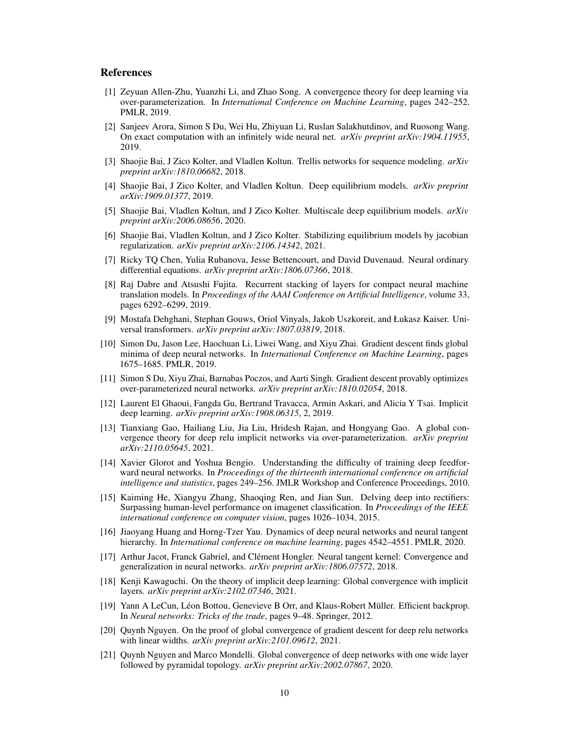## References

- <span id="page-9-7"></span>[1] Zeyuan Allen-Zhu, Yuanzhi Li, and Zhao Song. A convergence theory for deep learning via over-parameterization. In *International Conference on Machine Learning*, pages 242–252. PMLR, 2019.
- <span id="page-9-9"></span>[2] Sanjeev Arora, Simon S Du, Wei Hu, Zhiyuan Li, Ruslan Salakhutdinov, and Ruosong Wang. On exact computation with an infinitely wide neural net. *arXiv preprint arXiv:1904.11955*, 2019.
- <span id="page-9-3"></span>[3] Shaojie Bai, J Zico Kolter, and Vladlen Koltun. Trellis networks for sequence modeling. *arXiv preprint arXiv:1810.06682*, 2018.
- <span id="page-9-0"></span>[4] Shaojie Bai, J Zico Kolter, and Vladlen Koltun. Deep equilibrium models. *arXiv preprint arXiv:1909.01377*, 2019.
- <span id="page-9-5"></span>[5] Shaojie Bai, Vladlen Koltun, and J Zico Kolter. Multiscale deep equilibrium models. *arXiv preprint arXiv:2006.08656*, 2020.
- <span id="page-9-12"></span>[6] Shaojie Bai, Vladlen Koltun, and J Zico Kolter. Stabilizing equilibrium models by jacobian regularization. *arXiv preprint arXiv:2106.14342*, 2021.
- <span id="page-9-11"></span>[7] Ricky TQ Chen, Yulia Rubanova, Jesse Bettencourt, and David Duvenaud. Neural ordinary differential equations. *arXiv preprint arXiv:1806.07366*, 2018.
- <span id="page-9-1"></span>[8] Raj Dabre and Atsushi Fujita. Recurrent stacking of layers for compact neural machine translation models. In *Proceedings of the AAAI Conference on Artificial Intelligence*, volume 33, pages 6292–6299, 2019.
- <span id="page-9-2"></span>[9] Mostafa Dehghani, Stephan Gouws, Oriol Vinyals, Jakob Uszkoreit, and Łukasz Kaiser. Universal transformers. *arXiv preprint arXiv:1807.03819*, 2018.
- <span id="page-9-6"></span>[10] Simon Du, Jason Lee, Haochuan Li, Liwei Wang, and Xiyu Zhai. Gradient descent finds global minima of deep neural networks. In *International Conference on Machine Learning*, pages 1675–1685. PMLR, 2019.
- <span id="page-9-20"></span>[11] Simon S Du, Xiyu Zhai, Barnabas Poczos, and Aarti Singh. Gradient descent provably optimizes over-parameterized neural networks. *arXiv preprint arXiv:1810.02054*, 2018.
- <span id="page-9-4"></span>[12] Laurent El Ghaoui, Fangda Gu, Bertrand Travacca, Armin Askari, and Alicia Y Tsai. Implicit deep learning. *arXiv preprint arXiv:1908.06315*, 2, 2019.
- <span id="page-9-14"></span>[13] Tianxiang Gao, Hailiang Liu, Jia Liu, Hridesh Rajan, and Hongyang Gao. A global convergence theory for deep relu implicit networks via over-parameterization. *arXiv preprint arXiv:2110.05645*, 2021.
- <span id="page-9-18"></span>[14] Xavier Glorot and Yoshua Bengio. Understanding the difficulty of training deep feedforward neural networks. In *Proceedings of the thirteenth international conference on artificial intelligence and statistics*, pages 249–256. JMLR Workshop and Conference Proceedings, 2010.
- <span id="page-9-19"></span>[15] Kaiming He, Xiangyu Zhang, Shaoqing Ren, and Jian Sun. Delving deep into rectifiers: Surpassing human-level performance on imagenet classification. In *Proceedings of the IEEE international conference on computer vision*, pages 1026–1034, 2015.
- <span id="page-9-16"></span>[16] Jiaoyang Huang and Horng-Tzer Yau. Dynamics of deep neural networks and neural tangent hierarchy. In *International conference on machine learning*, pages 4542–4551. PMLR, 2020.
- <span id="page-9-15"></span>[17] Arthur Jacot, Franck Gabriel, and Clément Hongler. Neural tangent kernel: Convergence and generalization in neural networks. *arXiv preprint arXiv:1806.07572*, 2018.
- <span id="page-9-13"></span>[18] Kenji Kawaguchi. On the theory of implicit deep learning: Global convergence with implicit layers. *arXiv preprint arXiv:2102.07346*, 2021.
- <span id="page-9-17"></span>[19] Yann A LeCun, Léon Bottou, Genevieve B Orr, and Klaus-Robert Müller. Efficient backprop. In *Neural networks: Tricks of the trade*, pages 9–48. Springer, 2012.
- <span id="page-9-10"></span>[20] Quynh Nguyen. On the proof of global convergence of gradient descent for deep relu networks with linear widths. *arXiv preprint arXiv:2101.09612*, 2021.
- <span id="page-9-8"></span>[21] Quynh Nguyen and Marco Mondelli. Global convergence of deep networks with one wide layer followed by pyramidal topology. *arXiv preprint arXiv:2002.07867*, 2020.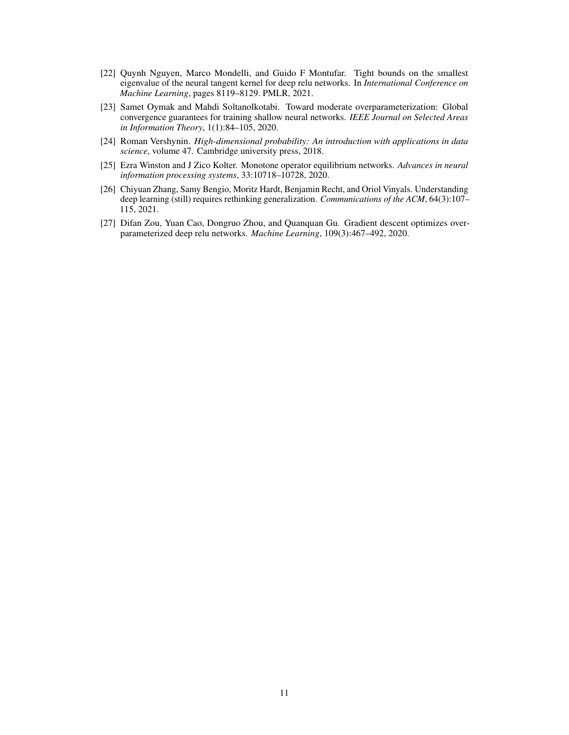- <span id="page-10-4"></span>[22] Quynh Nguyen, Marco Mondelli, and Guido F Montufar. Tight bounds on the smallest eigenvalue of the neural tangent kernel for deep relu networks. In *International Conference on Machine Learning*, pages 8119–8129. PMLR, 2021.
- <span id="page-10-1"></span>[23] Samet Oymak and Mahdi Soltanolkotabi. Toward moderate overparameterization: Global convergence guarantees for training shallow neural networks. *IEEE Journal on Selected Areas in Information Theory*, 1(1):84–105, 2020.
- <span id="page-10-5"></span>[24] Roman Vershynin. *High-dimensional probability: An introduction with applications in data science*, volume 47. Cambridge university press, 2018.
- <span id="page-10-2"></span>[25] Ezra Winston and J Zico Kolter. Monotone operator equilibrium networks. *Advances in neural information processing systems*, 33:10718–10728, 2020.
- <span id="page-10-3"></span>[26] Chiyuan Zhang, Samy Bengio, Moritz Hardt, Benjamin Recht, and Oriol Vinyals. Understanding deep learning (still) requires rethinking generalization. *Communications of the ACM*, 64(3):107– 115, 2021.
- <span id="page-10-0"></span>[27] Difan Zou, Yuan Cao, Dongruo Zhou, and Quanquan Gu. Gradient descent optimizes overparameterized deep relu networks. *Machine Learning*, 109(3):467–492, 2020.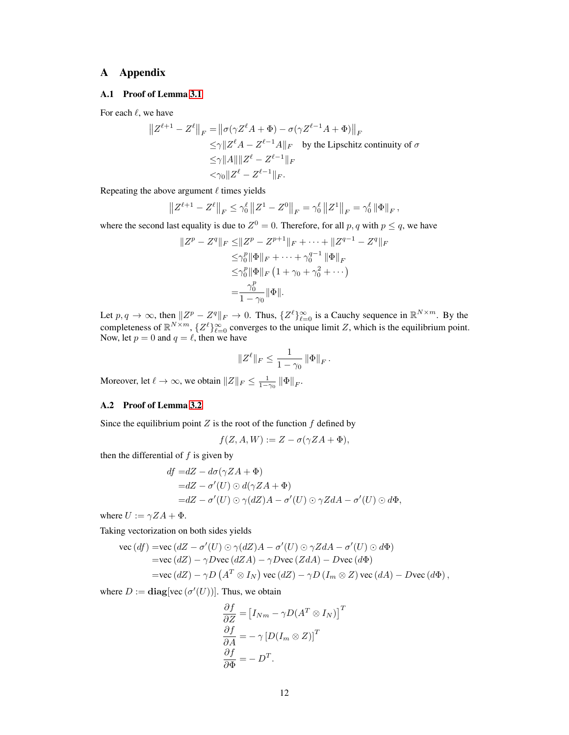# A Appendix

## <span id="page-11-0"></span>A.1 Proof of Lemma [3.1](#page-2-1)

For each  $\ell$ , we have

$$
||Z^{\ell+1} - Z^{\ell}||_F = ||\sigma(\gamma Z^{\ell} A + \Phi) - \sigma(\gamma Z^{\ell-1} A + \Phi)||_F
$$
  
\n
$$
\leq \gamma ||Z^{\ell} A - Z^{\ell-1} A||_F \text{ by the Lipschitz continuity of } \sigma
$$
  
\n
$$
\leq \gamma ||A|| ||Z^{\ell} - Z^{\ell-1}||_F
$$
  
\n
$$
< \gamma_0 ||Z^{\ell} - Z^{\ell-1}||_F.
$$

Repeating the above argument  $\ell$  times yields

$$
\left\|Z^{\ell+1} - Z^{\ell}\right\|_{F} \leq \gamma_0^{\ell} \|Z^1 - Z^0\|_{F} = \gamma_0^{\ell} \|Z^1\|_{F} = \gamma_0^{\ell} \|\Phi\|_{F},
$$

where the second last equality is due to  $Z^0 = 0$ . Therefore, for all p, q with  $p \leq q$ , we have

$$
||Z^{p} - Z^{q}||_{F} \le ||Z^{p} - Z^{p+1}||_{F} + \dots + ||Z^{q-1} - Z^{q}||_{F}
$$
  
\n
$$
\le \gamma_{0}^{p} ||\Phi||_{F} + \dots + \gamma_{0}^{q-1} ||\Phi||_{F}
$$
  
\n
$$
\le \gamma_{0}^{p} ||\Phi||_{F} (1 + \gamma_{0} + \gamma_{0}^{2} + \dots)
$$
  
\n
$$
= \frac{\gamma_{0}^{p}}{1 - \gamma_{0}} ||\Phi||.
$$

Let  $p, q \to \infty$ , then  $||Z^p - Z^q||_F \to 0$ . Thus,  $\{Z^{\ell}\}_{\ell=0}^{\infty}$  is a Cauchy sequence in  $\mathbb{R}^{N \times m}$ . By the completeness of  $\mathbb{R}^{N \times m}$ ,  $\{Z^{\ell}\}_{\ell=0}^{\infty}$  converges to the unique limit Z, which is the equilibrium point. Now, let  $p = 0$  and  $q = \ell$ , then we have

$$
||Z^{\ell}||_F\leq \frac{1}{1-\gamma_0}\left\|\Phi\right\|_F.
$$

Moreover, let  $\ell \to \infty$ , we obtain  $||Z||_F \leq \frac{1}{1-\gamma_0} ||\Phi||_F$ .

#### <span id="page-11-1"></span>A.2 Proof of Lemma [3.2](#page-2-2)

Since the equilibrium point  $Z$  is the root of the function  $f$  defined by

$$
f(Z, A, W) := Z - \sigma(\gamma Z A + \Phi),
$$

then the differential of  $f$  is given by

$$
df = dZ - d\sigma(\gamma ZA + \Phi)
$$
  
= dZ - \sigma'(U) \odot d(\gamma ZA + \Phi)  
= dZ - \sigma'(U) \odot \gamma(dZ)A - \sigma'(U) \odot \gamma ZdA - \sigma'(U) \odot d\Phi,

where  $U := \gamma Z A + \Phi$ .

Taking vectorization on both sides yields

\n
$$
\text{vec}(df) = \text{vec}(dZ - \sigma'(U) \odot \gamma(dZ)A - \sigma'(U) \odot \gamma ZdA - \sigma'(U) \odot d\Phi)
$$
\n

\n\n $= \text{vec}(dZ) - \gamma D \text{vec}(dZA) - \gamma D \text{vec}(ZdA) - D \text{vec}(d\Phi)$ \n

\n\n $= \text{vec}(dZ) - \gamma D (A^T \otimes I_N) \text{vec}(dZ) - \gamma D (I_m \otimes Z) \text{vec}(dA) - D \text{vec}(d\Phi),$ \n

where  $D := \text{diag}[\text{vec}(\sigma'(U))]$ . Thus, we obtain

$$
\frac{\partial f}{\partial Z} = [I_{Nm} - \gamma D(A^T \otimes I_N)]^T
$$

$$
\frac{\partial f}{\partial A} = -\gamma [D(I_m \otimes Z)]^T
$$

$$
\frac{\partial f}{\partial \Phi} = -D^T.
$$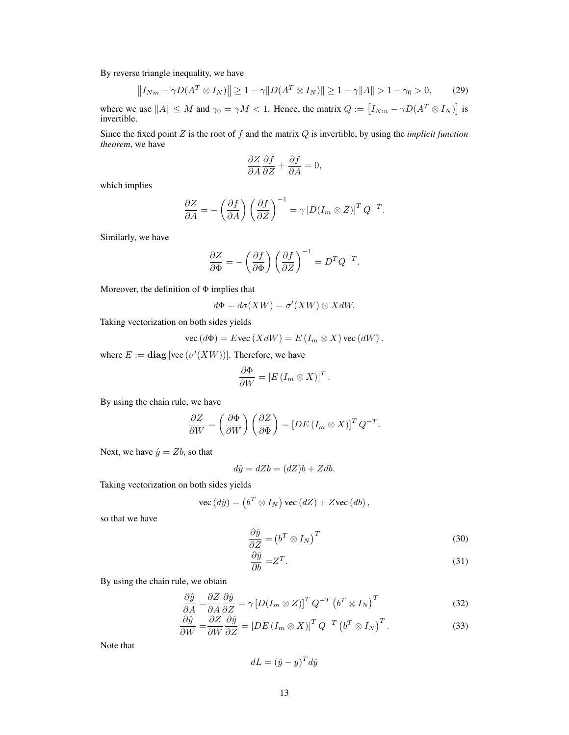By reverse triangle inequality, we have

$$
||I_{Nm} - \gamma D(A^T \otimes I_N)|| \ge 1 - \gamma ||D(A^T \otimes I_N)|| \ge 1 - \gamma ||A|| > 1 - \gamma_0 > 0,
$$
 (29)

where we use  $||A|| \leq M$  and  $\gamma_0 = \gamma M < 1$ . Hence, the matrix  $Q := [I_{Nm} - \gamma D(A^T \otimes I_N)]$  is invertible.

Since the fixed point Z is the root of f and the matrix Q is invertible, by using the *implicit function theorem*, we have

$$
\frac{\partial Z}{\partial A} \frac{\partial f}{\partial Z} + \frac{\partial f}{\partial A} = 0,
$$

which implies

$$
\frac{\partial Z}{\partial A} = -\left(\frac{\partial f}{\partial A}\right) \left(\frac{\partial f}{\partial Z}\right)^{-1} = \gamma \left[D(I_m \otimes Z)\right]^T Q^{-T}.
$$

Similarly, we have

$$
\frac{\partial Z}{\partial \Phi} = -\left(\frac{\partial f}{\partial \Phi}\right) \left(\frac{\partial f}{\partial Z}\right)^{-1} = D^T Q^{-T}.
$$

Moreover, the definition of  $\Phi$  implies that

$$
d\Phi = d\sigma(XW) = \sigma'(XW) \odot XdW.
$$

Taking vectorization on both sides yields

$$
\text{vec}(d\Phi) = E \text{vec}(X dW) = E(I_m \otimes X) \text{vec}(dW).
$$

where  $E := diag[vec(\sigma'(XW))]$ . Therefore, we have

$$
\frac{\partial \Phi}{\partial W} = \left[ E \left( I_m \otimes X \right) \right]^T.
$$

By using the chain rule, we have

$$
\frac{\partial Z}{\partial W} = \left(\frac{\partial \Phi}{\partial W}\right) \left(\frac{\partial Z}{\partial \Phi}\right) = \left[DE\left(I_m \otimes X\right)\right]^T Q^{-T}.
$$

Next, we have  $\hat{y} = Zb$ , so that

$$
d\hat{y} = dZb = (dZ)b + Zdb.
$$

Taking vectorization on both sides yields

$$
\text{vec}\,(d\hat{y}) = (b^T \otimes I_N)\,\text{vec}\,(dZ) + Z\text{vec}\,(db)\,,
$$

so that we have

$$
\frac{\partial \hat{y}}{\partial Z} = (b^T \otimes I_N)^T \tag{30}
$$

$$
\frac{\partial \hat{y}}{\partial b} = Z^T. \tag{31}
$$

By using the chain rule, we obtain

$$
\frac{\partial \hat{y}}{\partial A} = \frac{\partial Z}{\partial A} \frac{\partial \hat{y}}{\partial Z} = \gamma \left[ D(I_m \otimes Z) \right]^T Q^{-T} \left( b^T \otimes I_N \right)^T \tag{32}
$$

$$
\frac{\partial \hat{y}}{\partial W} = \frac{\partial Z}{\partial W} \frac{\partial \hat{y}}{\partial Z} = \left[ DE \left( I_m \otimes X \right) \right]^T Q^{-T} \left( b^T \otimes I_N \right)^T.
$$
\n(33)

Note that

$$
dL = (\hat{y} - y)^T d\hat{y}
$$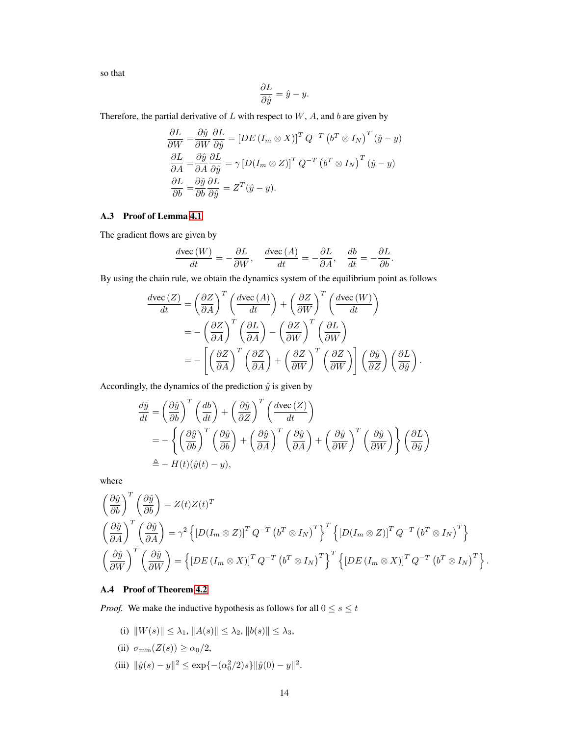so that

$$
\frac{\partial L}{\partial \hat{y}} = \hat{y} - y.
$$

Therefore, the partial derivative of  $L$  with respect to  $W$ ,  $A$ , and  $b$  are given by

$$
\frac{\partial L}{\partial W} = \frac{\partial \hat{y}}{\partial W} \frac{\partial L}{\partial \hat{y}} = \left[ DE \left( I_m \otimes X \right) \right]^T Q^{-T} \left( b^T \otimes I_N \right)^T (\hat{y} - y)
$$

$$
\frac{\partial L}{\partial A} = \frac{\partial \hat{y}}{\partial A} \frac{\partial L}{\partial \hat{y}} = \gamma \left[ D \left( I_m \otimes Z \right) \right]^T Q^{-T} \left( b^T \otimes I_N \right)^T (\hat{y} - y)
$$

$$
\frac{\partial L}{\partial b} = \frac{\partial \hat{y}}{\partial b} \frac{\partial L}{\partial \hat{y}} = Z^T (\hat{y} - y).
$$

### <span id="page-13-0"></span>A.3 Proof of Lemma [4.1](#page-3-3)

The gradient flows are given by

$$
\frac{d\text{vec}(W)}{dt} = -\frac{\partial L}{\partial W}, \quad \frac{d\text{vec}(A)}{dt} = -\frac{\partial L}{\partial A}, \quad \frac{db}{dt} = -\frac{\partial L}{\partial b}.
$$

By using the chain rule, we obtain the dynamics system of the equilibrium point as follows

$$
\frac{d\text{vec}(Z)}{dt} = \left(\frac{\partial Z}{\partial A}\right)^T \left(\frac{d\text{vec}(A)}{dt}\right) + \left(\frac{\partial Z}{\partial W}\right)^T \left(\frac{d\text{vec}(W)}{dt}\right)
$$

$$
= -\left(\frac{\partial Z}{\partial A}\right)^T \left(\frac{\partial L}{\partial A}\right) - \left(\frac{\partial Z}{\partial W}\right)^T \left(\frac{\partial L}{\partial W}\right)
$$

$$
= -\left[\left(\frac{\partial Z}{\partial A}\right)^T \left(\frac{\partial Z}{\partial A}\right) + \left(\frac{\partial Z}{\partial W}\right)^T \left(\frac{\partial Z}{\partial W}\right)\right] \left(\frac{\partial \hat{y}}{\partial Z}\right) \left(\frac{\partial L}{\partial \hat{y}}\right).
$$

Accordingly, the dynamics of the prediction  $\hat{y}$  is given by

$$
\frac{d\hat{y}}{dt} = \left(\frac{\partial \hat{y}}{\partial b}\right)^T \left(\frac{db}{dt}\right) + \left(\frac{\partial \hat{y}}{\partial z}\right)^T \left(\frac{d\text{vec}(Z)}{dt}\right)
$$
  
\n
$$
= -\left\{\left(\frac{\partial \hat{y}}{\partial b}\right)^T \left(\frac{\partial \hat{y}}{\partial b}\right) + \left(\frac{\partial \hat{y}}{\partial A}\right)^T \left(\frac{\partial \hat{y}}{\partial A}\right) + \left(\frac{\partial \hat{y}}{\partial W}\right)^T \left(\frac{\partial \hat{y}}{\partial W}\right)\right\} \left(\frac{\partial L}{\partial \hat{y}}\right)
$$
  
\n
$$
\triangleq - H(t)(\hat{y}(t) - y),
$$

where

$$
\begin{aligned}\n&\left(\frac{\partial \hat{y}}{\partial b}\right)^{T} \left(\frac{\partial \hat{y}}{\partial b}\right) = Z(t)Z(t)^{T} \\
&\left(\frac{\partial \hat{y}}{\partial A}\right)^{T} \left(\frac{\partial \hat{y}}{\partial A}\right) = \gamma^{2} \left\{ \left[D(I_{m} \otimes Z)\right]^{T} Q^{-T} \left(b^{T} \otimes I_{N}\right)^{T} \right\}^{T} \left\{ \left[D(I_{m} \otimes Z)\right]^{T} Q^{-T} \left(b^{T} \otimes I_{N}\right)^{T} \right\} \\
&\left(\frac{\partial \hat{y}}{\partial W}\right)^{T} \left(\frac{\partial \hat{y}}{\partial W}\right) = \left\{ \left[DE\left(I_{m} \otimes X\right)\right]^{T} Q^{-T} \left(b^{T} \otimes I_{N}\right)^{T} \right\}^{T} \left\{ \left[DE\left(I_{m} \otimes X\right)\right]^{T} Q^{-T} \left(b^{T} \otimes I_{N}\right)^{T} \right\}.\n\end{aligned}
$$

# <span id="page-13-1"></span>A.4 Proof of Theorem [4.2](#page-3-0)

*Proof.* We make the inductive hypothesis as follows for all  $0 \le s \le t$ 

- (i)  $||W(s)|| \leq \lambda_1, ||A(s)|| \leq \lambda_2, ||b(s)|| \leq \lambda_3,$
- (ii)  $\sigma_{\min}(Z(s)) \ge \alpha_0/2$ ,
- (iii)  $\|\hat{y}(s) y\|^2 \le \exp\{- (\alpha_0^2/2)s\} \|\hat{y}(0) y\|^2.$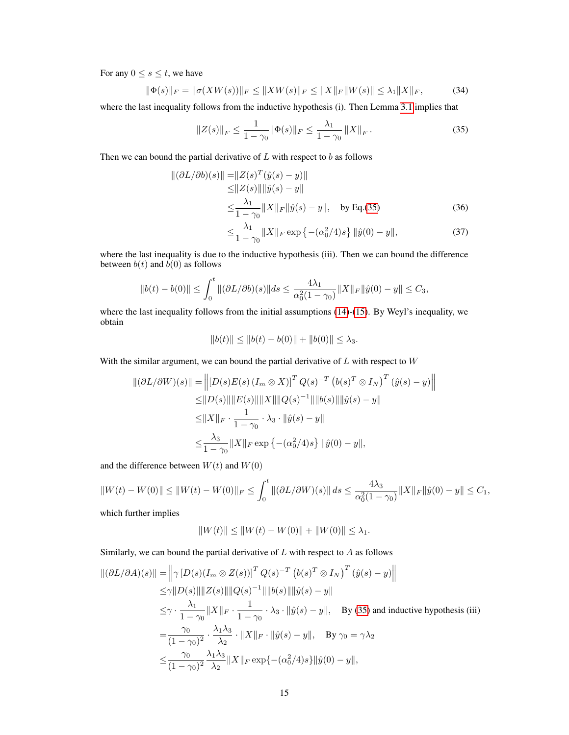For any  $0 \leq s \leq t$ , we have

$$
\|\Phi(s)\|_{F} = \|\sigma(XW(s))\|_{F} \le \|XW(s)\|_{F} \le \|X\|_{F}\|W(s)\| \le \lambda_{1}\|X\|_{F},\tag{34}
$$

where the last inequality follows from the inductive hypothesis (i). Then Lemma [3.1](#page-2-1) implies that

$$
||Z(s)||_F \le \frac{1}{1-\gamma_0} ||\Phi(s)||_F \le \frac{\lambda_1}{1-\gamma_0} ||X||_F.
$$
 (35)

Then we can bound the partial derivative of  $L$  with respect to  $b$  as follows

$$
\|(\partial L/\partial b)(s)\| = \|Z(s)^T(\hat{y}(s) - y)\|
$$
  
\n
$$
\le \|Z(s)\| \|\hat{y}(s) - y\|
$$
  
\n
$$
\le \frac{\lambda_1}{1 - \gamma_0} \|X\|_F \|\hat{y}(s) - y\|, \quad \text{by Eq.(35)}
$$
 (36)

<span id="page-14-0"></span>
$$
\leq \frac{\lambda_1}{1 - \gamma_0} \|X\|_F \exp\left\{ - (\alpha_0^2/4)s \right\} \|\hat{y}(0) - y\|,\tag{37}
$$

where the last inequality is due to the inductive hypothesis (iii). Then we can bound the difference between  $b(t)$  and  $\overline{b}(0)$  as follows

$$
||b(t) - b(0)|| \le \int_0^t ||(\partial L/\partial b)(s)||ds \le \frac{4\lambda_1}{\alpha_0^2(1-\gamma_0)} ||X||_F ||\hat{y}(0) - y|| \le C_3,
$$

where the last inequality follows from the initial assumptions [\(14\)](#page-3-1)-[\(15\)](#page-3-2). By Weyl's inequality, we obtain

$$
||b(t)|| \le ||b(t) - b(0)|| + ||b(0)|| \le \lambda_3.
$$

With the similar argument, we can bound the partial derivative of  $L$  with respect to  $W$ 

$$
\|(\partial L/\partial W)(s)\| = \left\| [D(s)E(s) (I_m \otimes X)]^T Q(s)^{-T} (b(s)^T \otimes I_N)^T (\hat{y}(s) - y) \right\|
$$
  
\n
$$
\leq \|D(s)\| \|E(s)\| \|X\| \|Q(s)^{-1}\| \|b(s)\| \|\hat{y}(s) - y\|
$$
  
\n
$$
\leq \|X\|_F \cdot \frac{1}{1 - \gamma_0} \cdot \lambda_3 \cdot \|\hat{y}(s) - y\|
$$
  
\n
$$
\leq \frac{\lambda_3}{1 - \gamma_0} \|X\|_F \exp \left\{ -(\alpha_0^2/4)s \right\} \|\hat{y}(0) - y\|,
$$

and the difference between  $W(t)$  and  $W(0)$ 

$$
||W(t) - W(0)|| \le ||W(t) - W(0)||_F \le \int_0^t ||(\partial L/\partial W)(s)|| ds \le \frac{4\lambda_3}{\alpha_0^2(1-\gamma_0)} ||X||_F ||\hat{y}(0) - y|| \le C_1,
$$

which further implies

$$
||W(t)|| \le ||W(t) - W(0)|| + ||W(0)|| \le \lambda_1.
$$

Similarly, we can bound the partial derivative of  $L$  with respect to  $A$  as follows

$$
\begin{split}\n\|(\partial L/\partial A)(s)\| &= \left\|\gamma \left[D(s)(I_m \otimes Z(s))\right]^T Q(s)^{-T} \left(b(s)^T \otimes I_N\right)^T (\hat{y}(s) - y)\right\| \\
&\leq & \gamma \|D(s)\| \|Z(s)\| \|Q(s)^{-1}\| \|b(s)\| \|\hat{y}(s) - y\| \\
&\leq & \gamma \cdot \frac{\lambda_1}{1 - \gamma_0} \|X\|_F \cdot \frac{1}{1 - \gamma_0} \cdot \lambda_3 \cdot \|\hat{y}(s) - y\|, \quad \text{By (35) and inductive hypothesis (iii)} \\
&= & \frac{\gamma_0}{(1 - \gamma_0)^2} \cdot \frac{\lambda_1 \lambda_3}{\lambda_2} \cdot \|X\|_F \cdot \|\hat{y}(s) - y\|, \quad \text{By } \gamma_0 = \gamma \lambda_2 \\
&\leq & \frac{\gamma_0}{(1 - \gamma_0)^2} \frac{\lambda_1 \lambda_3}{\lambda_2} \|X\|_F \exp\left\{-(\alpha_0^2/4)s\right\} \|\hat{y}(0) - y\|,\n\end{split}
$$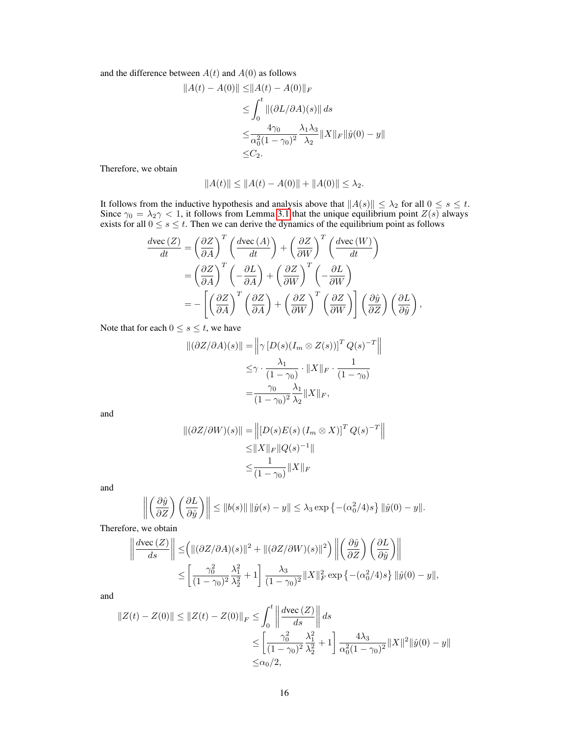and the difference between  $A(t)$  and  $A(0)$  as follows

$$
||A(t) - A(0)|| \le ||A(t) - A(0)||_F
$$
  
\n
$$
\le \int_0^t ||(\partial L/\partial A)(s)|| ds
$$
  
\n
$$
\le \frac{4\gamma_0}{\alpha_0^2 (1 - \gamma_0)^2} \frac{\lambda_1 \lambda_3}{\lambda_2} ||X||_F ||\hat{y}(0) - y||
$$
  
\n
$$
\le C_2.
$$

Therefore, we obtain

$$
||A(t)|| \le ||A(t) - A(0)|| + ||A(0)|| \le \lambda_2.
$$

It follows from the inductive hypothesis and analysis above that  $||A(s)|| \leq \lambda_2$  for all  $0 \leq s \leq t$ . Since  $\gamma_0 = \lambda_2 \gamma < 1$ , it follows from Lemma [3.1](#page-2-1) that the unique equilibrium point  $Z(s)$  always exists for all  $0 \le s \le t$ . Then we can derive the dynamics of the equilibrium point as follows

$$
\frac{d\text{vec}(Z)}{dt} = \left(\frac{\partial Z}{\partial A}\right)^T \left(\frac{d\text{vec}(A)}{dt}\right) + \left(\frac{\partial Z}{\partial W}\right)^T \left(\frac{d\text{vec}(W)}{dt}\right)
$$

$$
= \left(\frac{\partial Z}{\partial A}\right)^T \left(-\frac{\partial L}{\partial A}\right) + \left(\frac{\partial Z}{\partial W}\right)^T \left(-\frac{\partial L}{\partial W}\right)
$$

$$
= -\left[\left(\frac{\partial Z}{\partial A}\right)^T \left(\frac{\partial Z}{\partial A}\right) + \left(\frac{\partial Z}{\partial W}\right)^T \left(\frac{\partial Z}{\partial W}\right)\right] \left(\frac{\partial \hat{y}}{\partial Z}\right) \left(\frac{\partial L}{\partial \hat{y}}\right),
$$

Note that for each  $0 \le s \le t$ , we have

$$
\| (\partial Z/\partial A)(s) \| = \left\| \gamma \left[ D(s)(I_m \otimes Z(s)) \right]^T Q(s)^{-T} \right\|
$$
  

$$
\leq \gamma \cdot \frac{\lambda_1}{(1 - \gamma_0)} \cdot \|X\|_F \cdot \frac{1}{(1 - \gamma_0)}
$$
  

$$
= \frac{\gamma_0}{(1 - \gamma_0)^2} \frac{\lambda_1}{\lambda_2} \|X\|_F,
$$

and

$$
\| (\partial Z / \partial W)(s) \| = \left\| [D(s)E(s) (I_m \otimes X)]^T Q(s)^{-T} \right\|
$$
  
\n
$$
\leq \|X\|_F \|Q(s)^{-1}\|
$$
  
\n
$$
\leq \frac{1}{(1 - \gamma_0)} \|X\|_F
$$

and

$$
\left\| \left( \frac{\partial \hat{y}}{\partial Z} \right) \left( \frac{\partial L}{\partial \hat{y}} \right) \right\| \leq \|b(s)\| \left\| \hat{y}(s) - y \right\| \leq \lambda_3 \exp \left\{ - (\alpha_0^2/4)s \right\} \|\hat{y}(0) - y\|.
$$

Therefore, we obtain

$$
\left\| \frac{d\text{vec}(Z)}{ds} \right\| \leq \left( \| (\partial Z/\partial A)(s) \|^2 + \| (\partial Z/\partial W)(s) \|^2 \right) \left\| \left( \frac{\partial \hat{y}}{\partial Z} \right) \left( \frac{\partial L}{\partial \hat{y}} \right) \right\|
$$
  

$$
\leq \left[ \frac{\gamma_0^2}{(1 - \gamma_0)^2} \frac{\lambda_1^2}{\lambda_2^2} + 1 \right] \frac{\lambda_3}{(1 - \gamma_0)^2} \|X\|_F^2 \exp \left\{ - (\alpha_0^2/4)s \right\} \|\hat{y}(0) - y\|,
$$

and

$$
||Z(t) - Z(0)|| \le ||Z(t) - Z(0)||_F \le \int_0^t \left\| \frac{d\text{vec}(Z)}{ds} \right\| ds
$$
  
\n
$$
\le \left[ \frac{\gamma_0^2}{(1 - \gamma_0)^2} \frac{\lambda_1^2}{\lambda_2^2} + 1 \right] \frac{4\lambda_3}{\alpha_0^2 (1 - \gamma_0)^2} ||X||^2 ||\hat{y}(0) - y||
$$
  
\n
$$
\le \alpha_0/2,
$$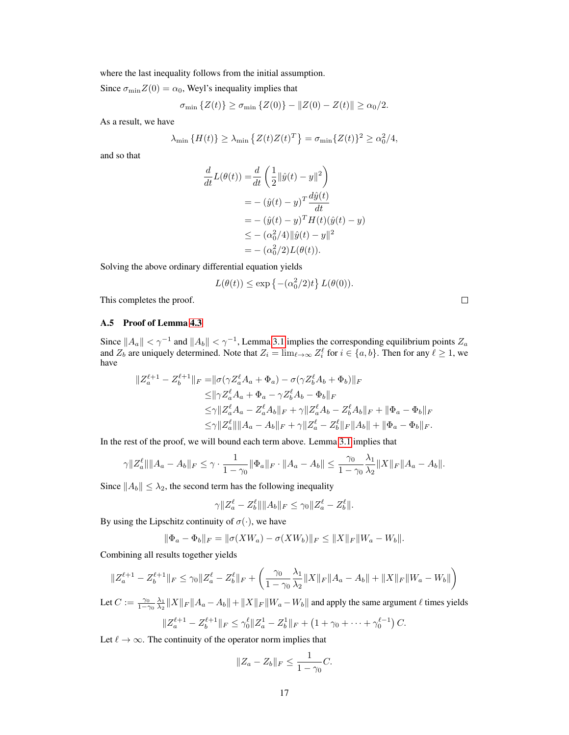where the last inequality follows from the initial assumption.

Since  $\sigma_{\min}Z(0) = \alpha_0$ , Weyl's inequality implies that

$$
\sigma_{\min} \{ Z(t) \} \ge \sigma_{\min} \{ Z(0) \} - \| Z(0) - Z(t) \| \ge \alpha_0 / 2.
$$

As a result, we have

$$
\lambda_{\min} \left\{ H(t) \right\} \ge \lambda_{\min} \left\{ Z(t)Z(t)^T \right\} = \sigma_{\min} \left\{ Z(t) \right\}^2 \ge \alpha_0^2/4,
$$

and so that

$$
\frac{d}{dt}L(\theta(t)) = \frac{d}{dt} \left( \frac{1}{2} ||\hat{y}(t) - y||^2 \right) \n= - (\hat{y}(t) - y)^T \frac{d\hat{y}(t)}{dt} \n= - (\hat{y}(t) - y)^T H(t)(\hat{y}(t) - y) \n\le - (\alpha_0^2/4) ||\hat{y}(t) - y||^2 \n= - (\alpha_0^2/2)L(\theta(t)).
$$

Solving the above ordinary differential equation yields

$$
L(\theta(t)) \le \exp\left\{-\left(\alpha_0^2/2\right)t\right\} L(\theta(0)).
$$

This completes the proof.

#### <span id="page-16-0"></span>A.5 Proof of Lemma [4.3](#page-4-1)

Since  $||A_a|| < \gamma^{-1}$  and  $||A_b|| < \gamma^{-1}$ , Lemma [3.1](#page-2-1) implies the corresponding equilibrium points  $Z_a$ and  $Z_b$  are uniquely determined. Note that  $Z_i = \lim_{\ell \to \infty} Z_i^{\ell}$  for  $i \in \{a, b\}$ . Then for any  $\ell \ge 1$ , we have

$$
\begin{split} \|Z_{a}^{\ell+1}-Z_{b}^{\ell+1}\|_{F}=&\|\sigma(\gamma Z_{a}^{\ell}A_{a}+\Phi_{a})-\sigma(\gamma Z_{b}^{\ell}A_{b}+\Phi_{b})\|_{F}\\ \leq&\|\gamma Z_{a}^{\ell}A_{a}+\Phi_{a}-\gamma Z_{b}^{\ell}A_{b}-\Phi_{b}\|_{F}\\ \leq&\gamma\|Z_{a}^{\ell}A_{a}-Z_{a}^{\ell}A_{b}\|_{F}+\gamma\|Z_{a}^{\ell}A_{b}-Z_{b}^{\ell}A_{b}\|_{F}+\|\Phi_{a}-\Phi_{b}\|_{F}\\ \leq&\gamma\|Z_{a}^{\ell}\|\|A_{a}-A_{b}\|_{F}+\gamma\|Z_{a}^{\ell}-Z_{b}^{\ell}\|_{F}\|A_{b}\|+\|\Phi_{a}-\Phi_{b}\|_{F}. \end{split}
$$

In the rest of the proof, we will bound each term above. Lemma [3.1](#page-2-1) implies that

$$
\gamma \|Z_a^{\ell}\| \|A_a - A_b\|_F \leq \gamma \cdot \frac{1}{1 - \gamma_0} \|\Phi_a\|_F \cdot \|A_a - A_b\| \leq \frac{\gamma_0}{1 - \gamma_0} \frac{\lambda_1}{\lambda_2} \|X\|_F \|A_a - A_b\|.
$$

Since  $||A_b|| \leq \lambda_2$ , the second term has the following inequality

$$
\gamma \|Z_a^{\ell} - Z_b^{\ell}\| \|A_b\|_F \leq \gamma_0 \|Z_a^{\ell} - Z_b^{\ell}\|.
$$

By using the Lipschitz continuity of  $\sigma(\cdot)$ , we have

$$
\|\Phi_a - \Phi_b\|_F = \|\sigma(XW_a) - \sigma(XW_b)\|_F \le \|X\|_F \|W_a - W_b\|.
$$

Combining all results together yields

$$
||Z_a^{\ell+1} - Z_b^{\ell+1}||_F \le \gamma_0 ||Z_a^{\ell} - Z_b^{\ell}||_F + \left(\frac{\gamma_0}{1 - \gamma_0} \frac{\lambda_1}{\lambda_2} ||X||_F ||A_a - A_b|| + ||X||_F ||W_a - W_b||\right)
$$

Let  $C := \frac{\gamma_0}{1-\gamma_0} \frac{\lambda_1}{\lambda_2} ||X||_F ||A_a - A_b|| + ||X||_F ||W_a - W_b||$  and apply the same argument  $\ell$  times yields

$$
||Z_{a}^{\ell+1} - Z_{b}^{\ell+1}||_{F} \leq \gamma_{0}^{\ell}||Z_{a}^{1} - Z_{b}^{1}||_{F} + (1 + \gamma_{0} + \dots + \gamma_{0}^{\ell-1}) C.
$$

Let  $\ell \to \infty$ . The continuity of the operator norm implies that

$$
||Z_a - Z_b||_F \le \frac{1}{1 - \gamma_0}C.
$$

 $\Box$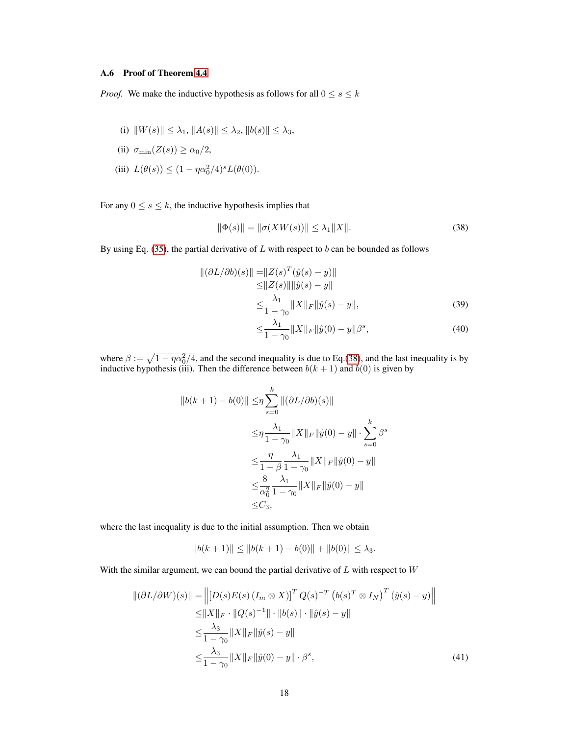# <span id="page-17-0"></span>A.6 Proof of Theorem [4.4](#page-4-2)

*Proof.* We make the inductive hypothesis as follows for all  $0 \le s \le k$ 

(i) 
$$
||W(s)|| \leq \lambda_1, ||A(s)|| \leq \lambda_2, ||b(s)|| \leq \lambda_3,
$$

(ii) 
$$
\sigma_{\min}(Z(s)) \ge \alpha_0/2
$$
,

(iii)  $L(\theta(s)) \leq (1 - \eta \alpha_0^2/4)^s L(\theta(0)).$ 

For any  $0 \le s \le k$ , the inductive hypothesis implies that

$$
\|\Phi(s)\| = \|\sigma(XW(s))\| \le \lambda_1 \|X\|.\tag{38}
$$

By using Eq. [\(35\)](#page-14-0), the partial derivative of  $L$  with respect to  $b$  can be bounded as follows

$$
\| (\partial L/\partial b)(s) \| = \| Z(s)^T (\hat{y}(s) - y) \| \le \| Z(s) \| \| \hat{y}(s) - y \| \le \frac{\lambda_1}{1 - \gamma_0} \| X \|_F \| \hat{y}(s) - y \|,
$$
\n(39)

<span id="page-17-1"></span>
$$
\leq \frac{\lambda_1}{1 - \gamma_0} \|X\|_F \|\hat{y}(0) - y\|\beta^s,\tag{40}
$$

where  $\beta := \sqrt{1 - \eta \alpha_0^2/4}$ , and the second inequality is due to Eq.[\(38\)](#page-17-1), and the last inequality is by inductive hypothesis (iii). Then the difference between  $b(k + 1)$  and  $b(0)$  is given by

$$
||b(k+1) - b(0)|| \leq \eta \sum_{s=0}^{k} ||(\partial L/\partial b)(s)||
$$
  

$$
\leq \eta \frac{\lambda_1}{1 - \gamma_0} ||X||_F ||\hat{y}(0) - y|| \cdot \sum_{s=0}^{k} \beta^s
$$
  

$$
\leq \frac{\eta}{1 - \beta} \frac{\lambda_1}{1 - \gamma_0} ||X||_F ||\hat{y}(0) - y||
$$
  

$$
\leq \frac{8}{\alpha_0^2} \frac{\lambda_1}{1 - \gamma_0} ||X||_F ||\hat{y}(0) - y||
$$
  

$$
\leq C_3,
$$

where the last inequality is due to the initial assumption. Then we obtain

<span id="page-17-2"></span>
$$
||b(k+1)|| \le ||b(k+1) - b(0)|| + ||b(0)|| \le \lambda_3.
$$

With the similar argument, we can bound the partial derivative of  $L$  with respect to  $W$ 

$$
\|(\partial L/\partial W)(s)\| = \left\| [D(s)E(s) (I_m \otimes X)]^T Q(s)^{-T} (b(s)^T \otimes I_N)^T (\hat{y}(s) - y) \right\|
$$
  
\n
$$
\leq \|X\|_F \cdot \|Q(s)^{-1}\| \cdot \|b(s)\| \cdot \|\hat{y}(s) - y\|
$$
  
\n
$$
\leq \frac{\lambda_3}{1 - \gamma_0} \|X\|_F \|\hat{y}(s) - y\|
$$
  
\n
$$
\leq \frac{\lambda_3}{1 - \gamma_0} \|X\|_F \|\hat{y}(0) - y\| \cdot \beta^s,
$$
\n(41)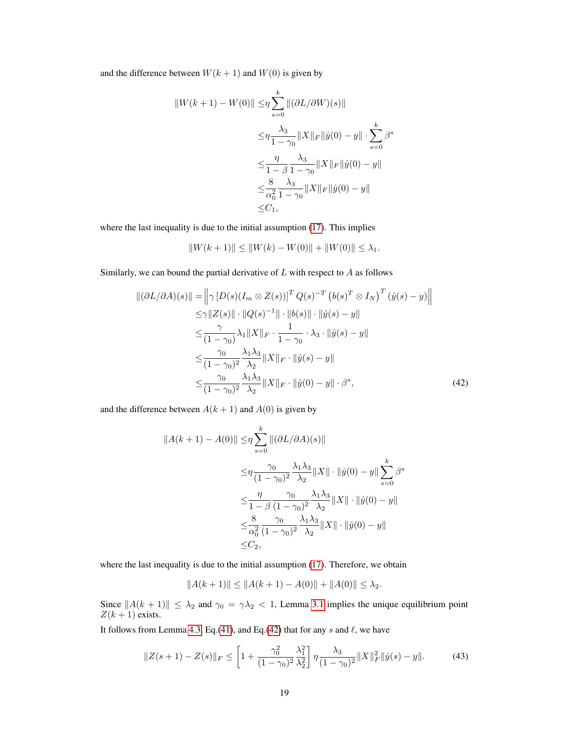and the difference between  $W(k + 1)$  and  $W(0)$  is given by

$$
||W(k + 1) – W(0)|| \leq \eta \sum_{s=0}^{k} ||(\partial L/\partial W)(s)||
$$
  
\n
$$
\leq \eta \frac{\lambda_3}{1 - \gamma_0} ||X||_F ||\hat{y}(0) – y|| \cdot \sum_{s=0}^{k} \beta^s
$$
  
\n
$$
\leq \frac{\eta}{1 - \beta} \frac{\lambda_3}{1 - \gamma_0} ||X||_F ||\hat{y}(0) – y||
$$
  
\n
$$
\leq \frac{8}{\alpha_0^2} \frac{\lambda_3}{1 - \gamma_0} ||X||_F ||\hat{y}(0) – y||
$$
  
\n
$$
\leq C_1,
$$

where the last inequality is due to the initial assumption [\(17\)](#page-4-3). This implies

<span id="page-18-0"></span>
$$
||W(k+1)|| \le ||W(k) - W(0)|| + ||W(0)|| \le \lambda_1.
$$

Similarly, we can bound the partial derivative of  $L$  with respect to  $A$  as follows

$$
\|(\partial L/\partial A)(s)\| = \left\|\gamma \left[D(s)(I_m \otimes Z(s))\right]^T Q(s)^{-T} \left(b(s)^T \otimes I_N\right)^T \left(\hat{y}(s) - y\right)\right\|
$$
  
\n
$$
\leq \gamma \|Z(s)\| \cdot \|Q(s)^{-1}\| \cdot \|b(s)\| \cdot \|\hat{y}(s) - y\|
$$
  
\n
$$
\leq \frac{\gamma}{(1 - \gamma_0)} \lambda_1 \|X\|_F \cdot \frac{1}{1 - \gamma_0} \cdot \lambda_3 \cdot \|\hat{y}(s) - y\|
$$
  
\n
$$
\leq \frac{\gamma_0}{(1 - \gamma_0)^2} \frac{\lambda_1 \lambda_3}{\lambda_2} \|X\|_F \cdot \|\hat{y}(s) - y\|
$$
  
\n
$$
\leq \frac{\gamma_0}{(1 - \gamma_0)^2} \frac{\lambda_1 \lambda_3}{\lambda_2} \|X\|_F \cdot \|\hat{y}(0) - y\| \cdot \beta^s,
$$
 (42)

and the difference between  $A(k + 1)$  and  $A(0)$  is given by

$$
||A(k+1) - A(0)|| \leq \eta \sum_{s=0}^{k} ||(\partial L/\partial A)(s)||
$$
  
\n
$$
\leq \eta \frac{\gamma_0}{(1-\gamma_0)^2} \frac{\lambda_1 \lambda_3}{\lambda_2} ||X|| \cdot ||\hat{y}(0) - y|| \sum_{s=0}^{k} \beta^s
$$
  
\n
$$
\leq \frac{\eta}{1-\beta} \frac{\gamma_0}{(1-\gamma_0)^2} \frac{\lambda_1 \lambda_3}{\lambda_2} ||X|| \cdot ||\hat{y}(0) - y||
$$
  
\n
$$
\leq \frac{8}{\alpha_0^2} \frac{\gamma_0}{(1-\gamma_0)^2} \frac{\lambda_1 \lambda_3}{\lambda_2} ||X|| \cdot ||\hat{y}(0) - y||
$$
  
\n
$$
\leq C_2,
$$

where the last inequality is due to the initial assumption [\(17\)](#page-4-3). Therefore, we obtain

$$
||A(k+1)|| \le ||A(k+1) - A(0)|| + ||A(0)|| \le \lambda_2.
$$

Since  $||A(k + 1)|| \leq \lambda_2$  and  $\gamma_0 = \gamma \lambda_2 < 1$ , Lemma [3.1](#page-2-1) implies the unique equilibrium point  $Z(k+1)$  exists.

It follows from Lemma [4.3,](#page-4-1) Eq.[\(41\)](#page-17-2), and Eq.[\(42\)](#page-18-0) that for any s and  $\ell$ , we have

$$
||Z(s+1) - Z(s)||_F \le \left[1 + \frac{\gamma_0^2}{(1-\gamma_0)^2} \frac{\lambda_1^2}{\lambda_2^2}\right] \eta \frac{\lambda_3}{(1-\gamma_0)^2} ||X||_F^2 ||\hat{y}(s) - y||. \tag{43}
$$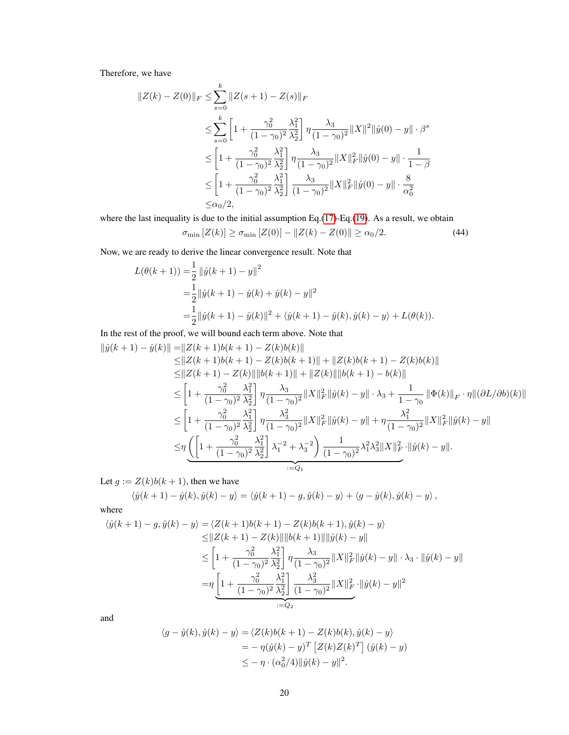Therefore, we have

$$
||Z(k) - Z(0)||_F \le \sum_{s=0}^k ||Z(s+1) - Z(s)||_F
$$
  
\n
$$
\le \sum_{s=0}^k \left[ 1 + \frac{\gamma_0^2}{(1 - \gamma_0)^2} \frac{\lambda_1^2}{\lambda_2^2} \right] \eta \frac{\lambda_3}{(1 - \gamma_0)^2} ||X||^2 ||\hat{y}(0) - y|| \cdot \beta^s
$$
  
\n
$$
\le \left[ 1 + \frac{\gamma_0^2}{(1 - \gamma_0)^2} \frac{\lambda_1^2}{\lambda_2^2} \right] \eta \frac{\lambda_3}{(1 - \gamma_0)^2} ||X||_F^2 ||\hat{y}(0) - y|| \cdot \frac{1}{1 - \beta}
$$
  
\n
$$
\le \left[ 1 + \frac{\gamma_0^2}{(1 - \gamma_0)^2} \frac{\lambda_1^2}{\lambda_2^2} \right] \frac{\lambda_3}{(1 - \gamma_0)^2} ||X||_F^2 ||\hat{y}(0) - y|| \cdot \frac{8}{\alpha_0^2}
$$
  
\n
$$
\le \alpha_0/2,
$$

where the last inequality is due to the initial assumption Eq.[\(17\)](#page-4-3)-Eq.[\(19\)](#page-4-4). As a result, we obtain

$$
\sigma_{\min}[Z(k)] \ge \sigma_{\min}[Z(0)] - \|Z(k) - Z(0)\| \ge \alpha_0/2. \tag{44}
$$

Now, we are ready to derive the linear convergence result. Note that

$$
L(\theta(k+1)) = \frac{1}{2} ||\hat{y}(k+1) - y||^2
$$
  
= 
$$
\frac{1}{2} ||\hat{y}(k+1) - \hat{y}(k) + \hat{y}(k) - y||^2
$$
  
= 
$$
\frac{1}{2} ||\hat{y}(k+1) - \hat{y}(k)||^2 + \langle \hat{y}(k+1) - \hat{y}(k), \hat{y}(k) - y \rangle + L(\theta(k)).
$$

In the rest of the proof, we will bound each term above. Note that

$$
\begin{split} \|\hat{y}(k+1)-\hat{y}(k)\|=&\|Z(k+1)b(k+1)-Z(k)b(k)\|\\ \leq&\|Z(k+1)b(k+1)-Z(k)b(k+1)\|+\|Z(k)b(k+1)-Z(k)b(k)\|\\ \leq&\|Z(k+1)-Z(k)\|\|b(k+1)\|+\|Z(k)\|\|b(k+1)-b(k)\|\\ \leq&\left[1+\frac{\gamma_0^2}{(1-\gamma_0)^2}\frac{\lambda_1^2}{\lambda_2^2}\right]\eta\frac{\lambda_3}{(1-\gamma_0)^2}\|X\|_F^2\|\hat{y}(k)-y\|\cdot\lambda_3+\frac{1}{1-\gamma_0}\|\Phi(k)\|_F\cdot\eta\|(\partial L/\partial b)(k)\|\\ \leq&\left[1+\frac{\gamma_0^2}{(1-\gamma_0)^2}\frac{\lambda_1^2}{\lambda_2^2}\right]\eta\frac{\lambda_3^2}{(1-\gamma_0)^2}\|X\|_F^2\|\hat{y}(k)-y\|+\eta\frac{\lambda_1^2}{(1-\gamma_0)^2}\|X\|_F^2\|\hat{y}(k)-y\|\\ \leq&\eta\left(\left[1+\frac{\gamma_0^2}{(1-\gamma_0)^2}\frac{\lambda_1^2}{\lambda_2^2}\right]\lambda_1^{-2}+\lambda_3^{-2}\right)\frac{1}{(1-\gamma_0)^2}\lambda_1^2\lambda_3^2\|X\|_F^2\cdot\|\hat{y}(k)-y\|. \end{split}
$$

Let  $g := Z(k)b(k+1)$ , then we have

$$
\langle \hat{y}(k+1) - \hat{y}(k), \hat{y}(k) - y \rangle = \langle \hat{y}(k+1) - g, \hat{y}(k) - y \rangle + \langle g - \hat{y}(k), \hat{y}(k) - y \rangle,
$$

where

$$
\langle \hat{y}(k+1) - g, \hat{y}(k) - y \rangle = \langle Z(k+1)b(k+1) - Z(k)b(k+1), \hat{y}(k) - y \rangle
$$
  
\n
$$
\leq ||Z(k+1) - Z(k)|| ||b(k+1)|| ||\hat{y}(k) - y||
$$
  
\n
$$
\leq \left[ 1 + \frac{\gamma_0^2}{(1-\gamma_0)^2} \frac{\lambda_1^2}{\lambda_2^2} \right] \eta \frac{\lambda_3}{(1-\gamma_0)^2} ||X||_F^2 ||\hat{y}(k) - y|| \cdot \lambda_3 \cdot ||\hat{y}(k) - y||
$$
  
\n
$$
= \eta \left[ 1 + \frac{\gamma_0^2}{(1-\gamma_0)^2} \frac{\lambda_1^2}{\lambda_2^2} \right] \frac{\lambda_3^2}{(1-\gamma_0)^2} ||X||_F^2 \cdot ||\hat{y}(k) - y||^2
$$
  
\n
$$
:= Q_2
$$

and

$$
\langle g - \hat{y}(k), \hat{y}(k) - y \rangle = \langle Z(k)b(k+1) - Z(k)b(k), \hat{y}(k) - y \rangle
$$
  
=  $-\eta(\hat{y}(k) - y)^T [Z(k)Z(k)^T] (\hat{y}(k) - y)$   
 $\leq -\eta \cdot (\alpha_0^2/4) ||\hat{y}(k) - y||^2.$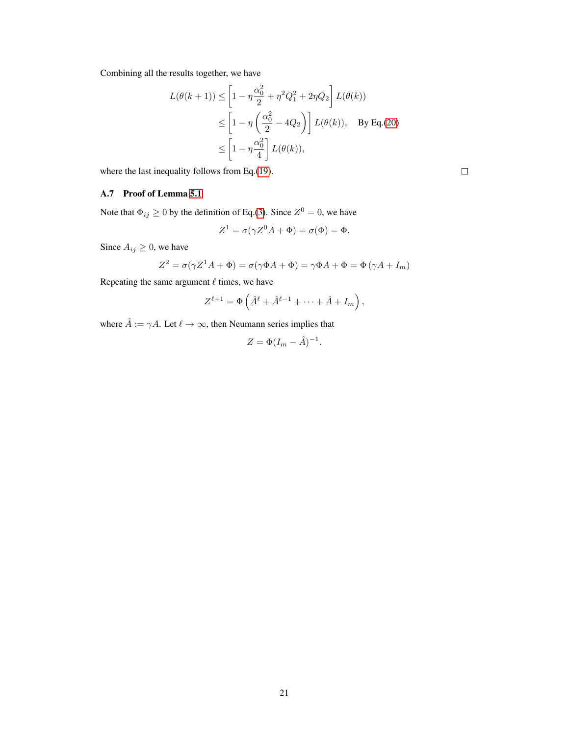Combining all the results together, we have

$$
L(\theta(k+1)) \le \left[1 - \eta \frac{\alpha_0^2}{2} + \eta^2 Q_1^2 + 2\eta Q_2\right] L(\theta(k))
$$
  
\n
$$
\le \left[1 - \eta \left(\frac{\alpha_0^2}{2} - 4Q_2\right)\right] L(\theta(k)), \text{ By Eq.(20)}
$$
  
\n
$$
\le \left[1 - \eta \frac{\alpha_0^2}{4}\right] L(\theta(k)),
$$

where the last inequality follows from Eq.[\(19\)](#page-4-4).

 $\Box$ 

# <span id="page-20-0"></span>A.7 Proof of Lemma [5.1](#page-5-0)

Note that  $\Phi_{ij} \ge 0$  by the definition of Eq.[\(3\)](#page-1-2). Since  $Z^0 = 0$ , we have

$$
Z^1 = \sigma(\gamma Z^0 A + \Phi) = \sigma(\Phi) = \Phi.
$$

Since  $A_{ij} \geq 0$ , we have

$$
Z^{2} = \sigma(\gamma Z^{1} A + \Phi) = \sigma(\gamma \Phi A + \Phi) = \gamma \Phi A + \Phi = \Phi(\gamma A + I_{m})
$$

Repeating the same argument  $\ell$  times, we have

$$
Z^{\ell+1} = \Phi\left(\hat{A}^{\ell} + \hat{A}^{\ell-1} + \cdots + \hat{A} + I_m\right),
$$

where  $\hat{A} := \gamma A$ . Let  $\ell \to \infty$ , then Neumann series implies that

$$
Z = \Phi(I_m - \hat{A})^{-1}.
$$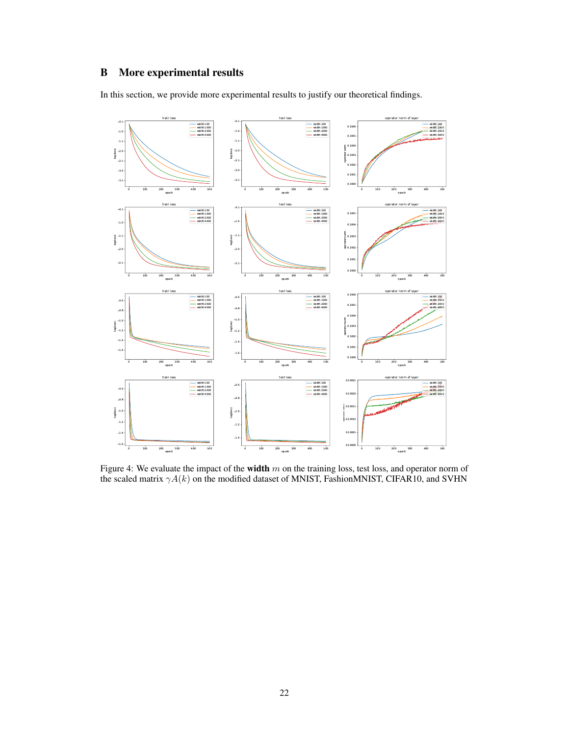# <span id="page-21-0"></span>B More experimental results

In this section, we provide more experimental results to justify our theoretical findings.



Figure 4: We evaluate the impact of the width  $m$  on the training loss, test loss, and operator norm of the scaled matrix  $\gamma A(k)$  on the modified dataset of MNIST, FashionMNIST, CIFAR10, and SVHN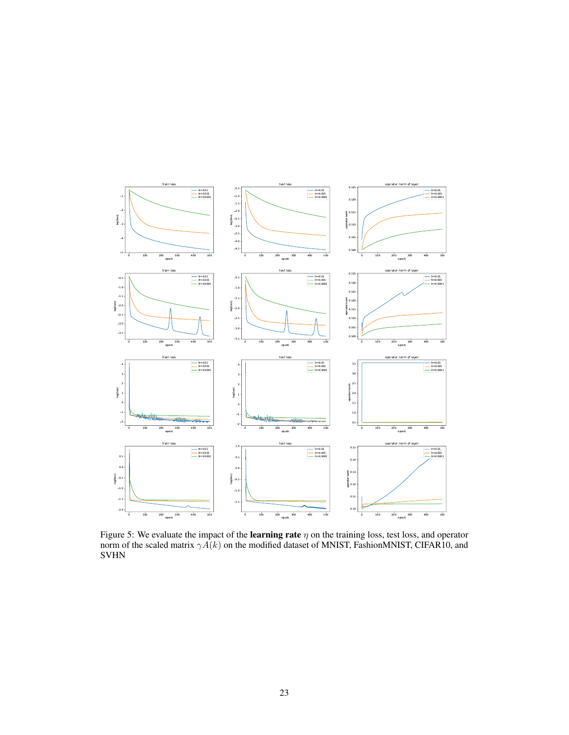

Figure 5: We evaluate the impact of the **learning rate**  $\eta$  on the training loss, test loss, and operator norm of the scaled matrix  $\gamma A(k)$  on the modified dataset of MNIST, FashionMNIST, CIFAR10, and SVHN